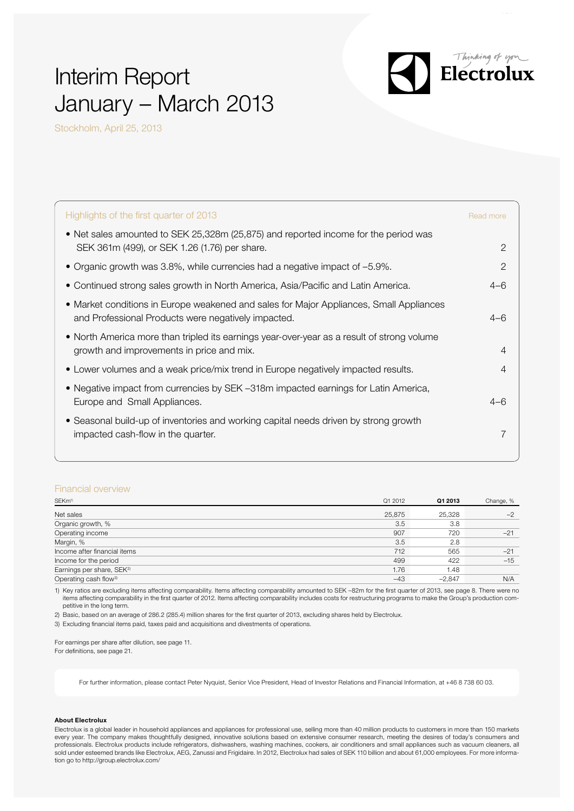# Interim Report January – March 2013



Stockholm, April 25, 2013

| Highlights of the first quarter of 2013                                                                                                        | Read more |
|------------------------------------------------------------------------------------------------------------------------------------------------|-----------|
| • Net sales amounted to SEK 25,328m (25,875) and reported income for the period was<br>SEK 361m (499), or SEK 1.26 (1.76) per share.           | 2         |
| • Organic growth was 3.8%, while currencies had a negative impact of -5.9%.                                                                    | 2         |
| • Continued strong sales growth in North America, Asia/Pacific and Latin America.                                                              | $4 - 6$   |
| • Market conditions in Europe weakened and sales for Major Appliances, Small Appliances<br>and Professional Products were negatively impacted. | $4 - 6$   |
| • North America more than tripled its earnings year-over-year as a result of strong volume<br>growth and improvements in price and mix.        |           |
| • Lower volumes and a weak price/mix trend in Europe negatively impacted results.                                                              |           |
| • Negative impact from currencies by SEK -318m impacted earnings for Latin America,<br>Europe and Small Appliances.                            | $4 - 6$   |
| • Seasonal build-up of inventories and working capital needs driven by strong growth<br>impacted cash-flow in the quarter.                     |           |

### Financial overview

| SEKm <sup>1)</sup>                    | Q1 2012 | Q1 2013  | Change, % |
|---------------------------------------|---------|----------|-----------|
| Net sales                             | 25,875  | 25.328   | $-2$      |
| Organic growth, %                     | 3.5     | 3.8      |           |
| Operating income                      | 907     | 720      | $-21$     |
| Margin, %                             | 3.5     | 2.8      |           |
| Income after financial items          | 712     | 565      | $-21$     |
| Income for the period                 | 499     | 422      | $-15$     |
| Earnings per share, SEK <sup>2)</sup> | 1.76    | 1.48     |           |
| Operating cash flow <sup>3)</sup>     | $-43$   | $-2.847$ | N/A       |

1) Key ratios are excluding items affecting comparability. Items affecting comparability amounted to SEK –82m for the first quarter of 2013, see page 8. There were no items affecting comparability in the first quarter of 2012. Items affecting comparability includes costs for restructuring programs to make the Group's production competitive in the long term.

2) Basic, based on an average of 286.2 (285.4) million shares for the first quarter of 2013, excluding shares held by Electrolux.

3) Excluding financial items paid, taxes paid and acquisitions and divestments of operations.

For earnings per share after dilution, see page 11.

For definitions, see page 21.

For further information, please contact Peter Nyquist, Senior Vice President, Head of Investor Relations and Financial Information, at +46 8 738 60 03.

#### About Electrolux

Electrolux is a global leader in household appliances and appliances for professional use, selling more than 40 million products to customers in more than 150 markets every year. The company makes thoughtfully designed, innovative solutions based on extensive consumer research, meeting the desires of today's consumers and professionals. Electrolux products include refrigerators, dishwashers, washing machines, cookers, air conditioners and small appliances such as vacuum cleaners, all sold under esteemed brands like Electrolux, AEG, Zanussi and Frigidaire. In 2012, Electrolux had sales of SEK 110 billion and about 61,000 employees. For more information go to http://group.electrolux.com/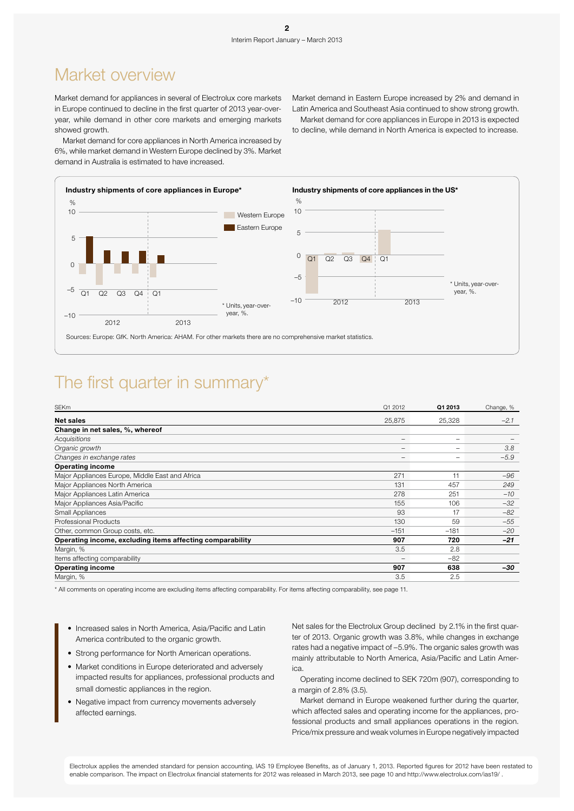### Market overview

Market demand for appliances in several of Electrolux core markets in Europe continued to decline in the first quarter of 2013 year-overyear, while demand in other core markets and emerging markets showed growth.

Market demand for core appliances in North America increased by 6%, while market demand in Western Europe declined by 3%. Market demand in Australia is estimated to have increased.

Market demand in Eastern Europe increased by 2% and demand in Latin America and Southeast Asia continued to show strong growth.

Market demand for core appliances in Europe in 2013 is expected to decline, while demand in North America is expected to increase.



### The first quarter in summary\*

| <b>SEKm</b>                                               | Q1 2012                  | Q1 2013                  | Change, % |
|-----------------------------------------------------------|--------------------------|--------------------------|-----------|
| <b>Net sales</b>                                          | 25,875                   | 25,328                   | $-2.1$    |
| Change in net sales, %, whereof                           |                          |                          |           |
| Acquisitions                                              | $\overline{\phantom{0}}$ | $\overline{\phantom{0}}$ |           |
| Organic growth                                            | -                        |                          | 3.8       |
| Changes in exchange rates                                 | $\overline{\phantom{0}}$ |                          | $-5.9$    |
| <b>Operating income</b>                                   |                          |                          |           |
| Major Appliances Europe, Middle East and Africa           | 271                      | 11                       | $-96$     |
| Major Appliances North America                            | 131                      | 457                      | 249       |
| Major Appliances Latin America                            | 278                      | 251                      | $-10$     |
| Major Appliances Asia/Pacific                             | 155                      | 106                      | $-32$     |
| Small Appliances                                          | 93                       | 17                       | $-82$     |
| Professional Products                                     | 130                      | 59                       | $-55$     |
| Other, common Group costs, etc.                           | $-151$                   | $-181$                   | $-20$     |
| Operating income, excluding items affecting comparability | 907                      | 720                      | $-21$     |
| Margin, %                                                 | 3.5                      | 2.8                      |           |
| Items affecting comparability                             | $\qquad \qquad$          | $-82$                    |           |
| <b>Operating income</b>                                   | 907                      | 638                      | -30       |
| Margin, %                                                 | 3.5                      | 2.5                      |           |

\* All comments on operating income are excluding items affecting comparability. For items affecting comparability, see page 11.

- Increased sales in North America, Asia/Pacific and Latin America contributed to the organic growth.
- Strong performance for North American operations.
- Market conditions in Europe deteriorated and adversely impacted results for appliances, professional products and small domestic appliances in the region.
- Negative impact from currency movements adversely affected earnings.

Net sales for the Electrolux Group declined by 2.1% in the first quarter of 2013. Organic growth was 3.8%, while changes in exchange rates had a negative impact of –5.9%. The organic sales growth was mainly attributable to North America, Asia/Pacific and Latin America.

Operating income declined to SEK 720m (907), corresponding to a margin of 2.8% (3.5).

Market demand in Europe weakened further during the quarter, which affected sales and operating income for the appliances, professional products and small appliances operations in the region. Price/mix pressure and weak volumes in Europe negatively impacted

Electrolux applies the amended standard for pension accounting, IAS 19 Employee Benefits, as of January 1, 2013. Reported figures for 2012 have been restated to enable comparison. The impact on Electrolux financial statements for 2012 was released in March 2013, see page 10 and http://www.electrolux.com/ias19/ .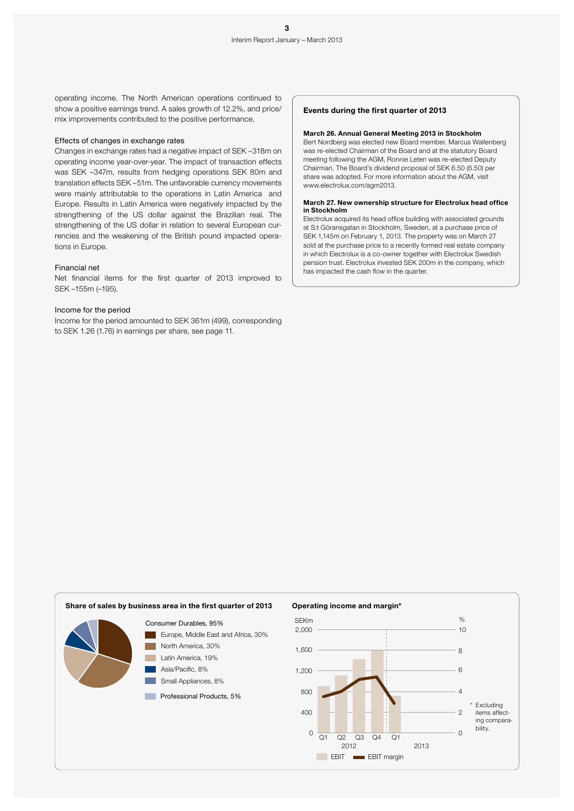operating income. The North American operations continued to show a positive earnings trend. A sales growth of 12.2%, and price/ mix improvements contributed to the positive performance.

#### Effects of changes in exchange rates

Changes in exchange rates had a negative impact of SEK –318m on operating income year-over-year. The impact of transaction effects was SEK –347m, results from hedging operations SEK 80m and translation effects SEK –51m. The unfavorable currency movements were mainly attributable to the operations in Latin America and Europe. Results in Latin America were negatively impacted by the strengthening of the US dollar against the Brazilian real. The strengthening of the US dollar in relation to several European currencies and the weakening of the British pound impacted operations in Europe.

### Financial net

Net financial items for the first quarter of 2013 improved to SEK –155m (–195).

#### Income for the period

Income for the period amounted to SEK 361m (499), corresponding to SEK 1.26 (1.76) in earnings per share, see page 11.

### Events during the first quarter of 2013

#### March 26. Annual General Meeting 2013 in Stockholm

Bert Nordberg was elected new Board member. Marcus Wallenberg was re-elected Chairman of the Board and at the statutory Board meeting following the AGM, Ronnie Leten was re-elected Deputy Chairman. The Board's dividend proposal of SEK 6.50 (6.50) per share was adopted. For more information about the AGM, visit www.electrolux.com/agm2013.

#### March 27. New ownership structure for Electrolux head office in Stockholm

Electrolux acquired its head office building with associated grounds at S:t Göransgatan in Stockholm, Sweden, at a purchase price of SEK 1,145m on February 1, 2013. The property was on March 27 sold at the purchase price to a recently formed real estate company in which Electrolux is a co-owner together with Electrolux Swedish pension trust. Electrolux invested SEK 200m in the company, which has impacted the cash flow in the quarter.

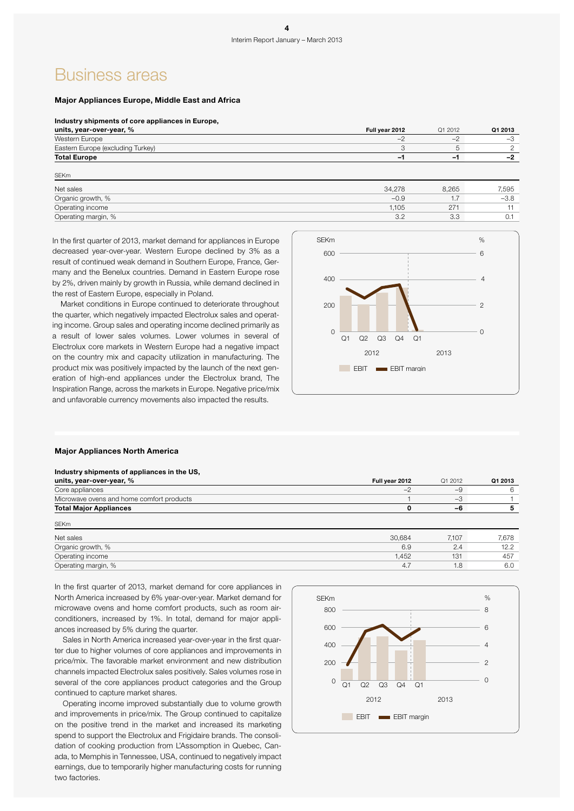### Business areas

SEKm

### Major Appliances Europe, Middle East and Africa

#### Industry shipments of core appliances in Europe,

| units, year-over-year, %          | Full year 2012           | Q1 2012 | Q1 2013 |
|-----------------------------------|--------------------------|---------|---------|
| Western Europe                    | $\overline{\phantom{a}}$ | $-1$    | $\neg$  |
| Eastern Europe (excluding Turkey) |                          |         |         |
| <b>Total Europe</b>               | -                        | -       |         |
|                                   |                          |         |         |

| Net sales           | 34.278 | 8.265         | 7.595  |
|---------------------|--------|---------------|--------|
| Organic growth, %   | $-0.9$ | $\rightarrow$ | $-3.8$ |
| Operating income    | 1.105  | 271           |        |
| Operating margin, % | 20     | 3.3           | U.I    |

In the first quarter of 2013, market demand for appliances in Europe decreased year-over-year. Western Europe declined by 3% as a result of continued weak demand in Southern Europe, France, Germany and the Benelux countries. Demand in Eastern Europe rose by 2%, driven mainly by growth in Russia, while demand declined in the rest of Eastern Europe, especially in Poland.

Market conditions in Europe continued to deteriorate throughout the quarter, which negatively impacted Electrolux sales and operating income. Group sales and operating income declined primarily as a result of lower sales volumes. Lower volumes in several of Electrolux core markets in Western Europe had a negative impact on the country mix and capacity utilization in manufacturing. The product mix was positively impacted by the launch of the next generation of high-end appliances under the Electrolux brand, The Inspiration Range, across the markets in Europe. Negative price/mix and unfavorable currency movements also impacted the results.



### Major Appliances North America

| Industry shipments of appliances in the US, |                |         |         |
|---------------------------------------------|----------------|---------|---------|
| units, year-over-year, %                    | Full year 2012 | Q1 2012 | Q1 2013 |
| Core appliances                             | $-2$           | $-9$    | 6       |
| Microwave ovens and home comfort products   |                | $-3$    |         |
| <b>Total Major Appliances</b>               |                | -6      | 5       |
| <b>SEKm</b>                                 |                |         |         |
| Net sales                                   | 30,684         | 7,107   | 7,678   |
| Organic growth, %                           | 6.9            | 2.4     | 12.2    |
| Operating income                            | 1.452          | 131     | 457     |
| Operating margin, %                         | 4.7            | 1.8     | 6.0     |

In the first quarter of 2013, market demand for core appliances in North America increased by 6% year-over-year. Market demand for microwave ovens and home comfort products, such as room airconditioners, increased by 1%. In total, demand for major appliances increased by 5% during the quarter.

Sales in North America increased year-over-year in the first quarter due to higher volumes of core appliances and improvements in price/mix. The favorable market environment and new distribution channels impacted Electrolux sales positively. Sales volumes rose in several of the core appliances product categories and the Group continued to capture market shares.

Operating income improved substantially due to volume growth and improvements in price/mix. The Group continued to capitalize on the positive trend in the market and increased its marketing spend to support the Electrolux and Frigidaire brands. The consolidation of cooking production from L'Assomption in Quebec, Canada, to Memphis in Tennessee, USA, continued to negatively impact earnings, due to temporarily higher manufacturing costs for running two factories.

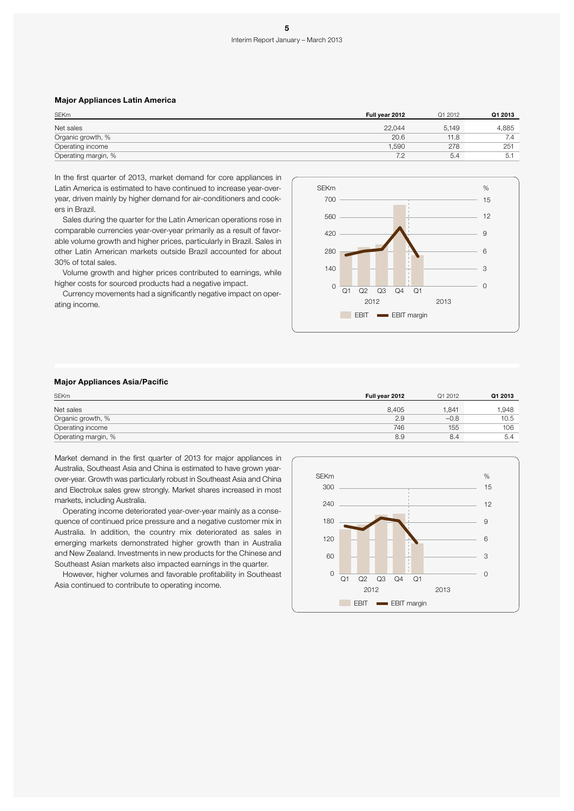### Major Appliances Latin America

| <b>SEKm</b>         | Full year 2012 | Q1 2012 | Q1 2013 |
|---------------------|----------------|---------|---------|
| Net sales           | 22.044         | 5.149   | 4.885   |
| Organic growth, %   | 20.6           | 11.8    | 7.4     |
| Operating income    | 1.590          | 278     | 251     |
| Operating margin, % | 7.2            | 5.4     | 5.1     |

In the first quarter of 2013, market demand for core appliances in Latin America is estimated to have continued to increase year-overyear, driven mainly by higher demand for air-conditioners and cookers in Brazil.

Sales during the quarter for the Latin American operations rose in comparable currencies year-over-year primarily as a result of favorable volume growth and higher prices, particularly in Brazil. Sales in other Latin American markets outside Brazil accounted for about 30% of total sales.

Volume growth and higher prices contributed to earnings, while higher costs for sourced products had a negative impact.

Currency movements had a significantly negative impact on operating income.



### Major Appliances Asia/Pacific

| <b>SEKm</b>         | Full year 2012 | Q1 2012 | Q1 2013 |
|---------------------|----------------|---------|---------|
| Net sales           | 8.405          | 1.841   | 1.948   |
| Organic growth, %   | 2.9            | $-0.8$  | 10.5    |
| Operating income    | 746            | 155     | 106     |
| Operating margin, % | 8.9            | 8.4     | 5.4     |

Market demand in the first quarter of 2013 for major appliances in Australia, Southeast Asia and China is estimated to have grown yearover-year. Growth was particularly robust in Southeast Asia and China and Electrolux sales grew strongly. Market shares increased in most markets, including Australia.

Operating income deteriorated year-over-year mainly as a consequence of continued price pressure and a negative customer mix in Australia. In addition, the country mix deteriorated as sales in emerging markets demonstrated higher growth than in Australia and New Zealand. Investments in new products for the Chinese and Southeast Asian markets also impacted earnings in the quarter.

However, higher volumes and favorable profitability in Southeast Asia continued to contribute to operating income.

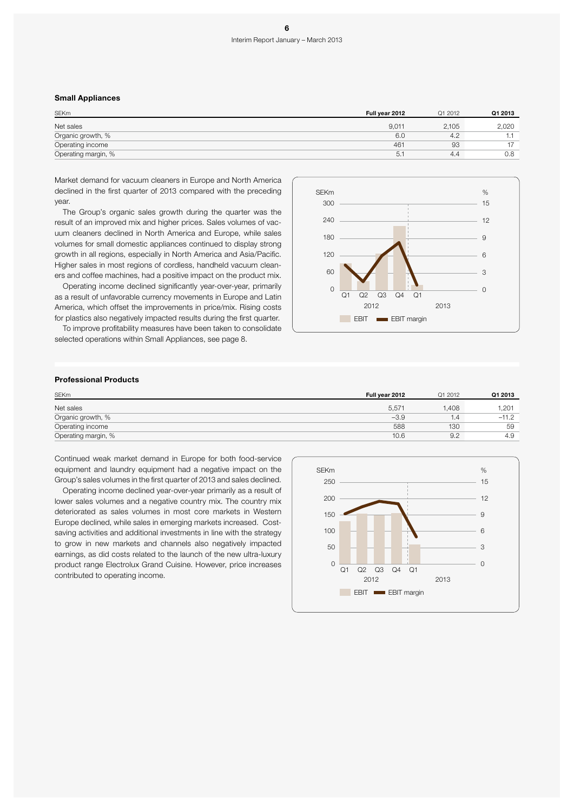### Interim Report January – March 2013

#### Small Appliances

| <b>SEKm</b>         | Full year 2012 | Q1 2012 | Q1 2013 |
|---------------------|----------------|---------|---------|
| Net sales           | 9.011          | 2.105   | 2,020   |
| Organic growth, %   | 6.0            | 4.2     |         |
| Operating income    | 461            | 93      | $-1$    |
| Operating margin, % | 5.             | 4.4     | 0.8     |

Market demand for vacuum cleaners in Europe and North America declined in the first quarter of 2013 compared with the preceding year.

The Group's organic sales growth during the quarter was the result of an improved mix and higher prices. Sales volumes of vacuum cleaners declined in North America and Europe, while sales volumes for small domestic appliances continued to display strong growth in all regions, especially in North America and Asia/Pacific. Higher sales in most regions of cordless, handheld vacuum cleaners and coffee machines, had a positive impact on the product mix.

Operating income declined significantly year-over-year, primarily as a result of unfavorable currency movements in Europe and Latin America, which offset the improvements in price/mix. Rising costs for plastics also negatively impacted results during the first quarter.

To improve profitability measures have been taken to consolidate selected operations within Small Appliances, see page 8.



#### Professional Products

| <b>SEKm</b>         | Full year 2012 | Q1 2012 | Q1 2013 |
|---------------------|----------------|---------|---------|
| Net sales           | 5.571          | .408    | 1,201   |
| Organic growth, %   | $-3.9$         | 1.4     | $-11.2$ |
| Operating income    | 588            | 130     | 59      |
| Operating margin, % | 10.6           | 9.2     | 4.9     |

Continued weak market demand in Europe for both food-service equipment and laundry equipment had a negative impact on the Group's sales volumes in the first quarter of 2013 and sales declined.

Operating income declined year-over-year primarily as a result of lower sales volumes and a negative country mix. The country mix deteriorated as sales volumes in most core markets in Western Europe declined, while sales in emerging markets increased. Costsaving activities and additional investments in line with the strategy to grow in new markets and channels also negatively impacted earnings, as did costs related to the launch of the new ultra-luxury product range Electrolux Grand Cuisine. However, price increases contributed to operating income.

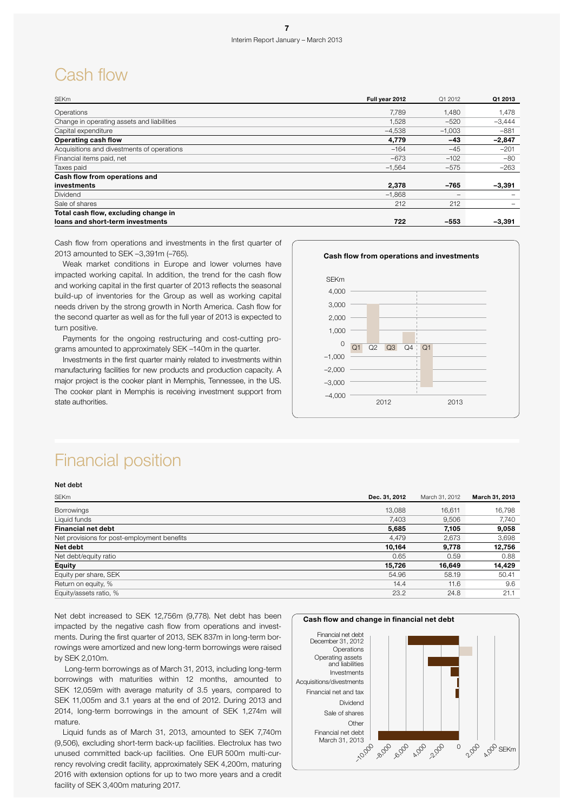### Cash flow

| <b>SEKm</b>                                | Full year 2012 | Q1 2012  | Q1 2013  |
|--------------------------------------------|----------------|----------|----------|
| Operations                                 | 7.789          | 1.480    | 1,478    |
| Change in operating assets and liabilities | 1,528          | $-520$   | $-3,444$ |
| Capital expenditure                        | $-4,538$       | $-1,003$ | $-881$   |
| <b>Operating cash flow</b>                 | 4,779          | $-43$    | $-2,847$ |
| Acquisitions and divestments of operations | $-164$         | $-45$    | $-201$   |
| Financial items paid, net                  | $-673$         | $-102$   | $-80$    |
| Taxes paid                                 | $-1,564$       | $-575$   | $-263$   |
| Cash flow from operations and              |                |          |          |
| investments                                | 2,378          | $-765$   | $-3,391$ |
| <b>Dividend</b>                            | $-1.868$       |          |          |
| Sale of shares                             | 212            | 212      |          |
| Total cash flow, excluding change in       |                |          |          |
| loans and short-term investments           | 722            | $-553$   | $-3,391$ |

Cash flow from operations and investments in the first quarter of 2013 amounted to SEK –3,391m (–765).

Weak market conditions in Europe and lower volumes have impacted working capital. In addition, the trend for the cash flow and working capital in the first quarter of 2013 reflects the seasonal build-up of inventories for the Group as well as working capital needs driven by the strong growth in North America. Cash flow for the second quarter as well as for the full year of 2013 is expected to turn positive.

Payments for the ongoing restructuring and cost-cutting programs amounted to approximately SEK –140m in the quarter.

Investments in the first quarter mainly related to investments within manufacturing facilities for new products and production capacity. A major project is the cooker plant in Memphis, Tennessee, in the US. The cooker plant in Memphis is receiving investment support from state authorities.



### Financial position

### Net debt

| <b>SEKm</b>                                 | Dec. 31, 2012 | March 31, 2012 | March 31, 2013 |
|---------------------------------------------|---------------|----------------|----------------|
| <b>Borrowings</b>                           | 13.088        | 16.611         | 16,798         |
| Liquid funds                                | 7,403         | 9,506          | 7,740          |
| <b>Financial net debt</b>                   | 5,685         | 7,105          | 9,058          |
| Net provisions for post-employment benefits | 4.479         | 2,673          | 3,698          |
| Net debt                                    | 10,164        | 9.778          | 12,756         |
| Net debt/equity ratio                       | 0.65          | 0.59           | 0.88           |
| <b>Equity</b>                               | 15,726        | 16,649         | 14,429         |
| Equity per share, SEK                       | 54.96         | 58.19          | 50.41          |
| Return on equity, %                         | 14.4          | 11.6           | 9.6            |
| Equity/assets ratio, %                      | 23.2          | 24.8           | 21.1           |

Net debt increased to SEK 12,756m (9,778). Net debt has been impacted by the negative cash flow from operations and investments. During the first quarter of 2013, SEK 837m in long-term borrowings were amortized and new long-term borrowings were raised by SEK 2,010m.

 Long-term borrowings as of March 31, 2013, including long-term borrowings with maturities within 12 months, amounted to SEK 12,059m with average maturity of 3.5 years, compared to SEK 11,005m and 3.1 years at the end of 2012. During 2013 and 2014, long-term borrowings in the amount of SEK 1,274m will mature.

Liquid funds as of March 31, 2013, amounted to SEK 7,740m (9,506), excluding short-term back-up facilities. Electrolux has two unused committed back-up facilities. One EUR 500m multi-currency revolving credit facility, approximately SEK 4,200m, maturing 2016 with extension options for up to two more years and a credit facility of SEK 3,400m maturing 2017.

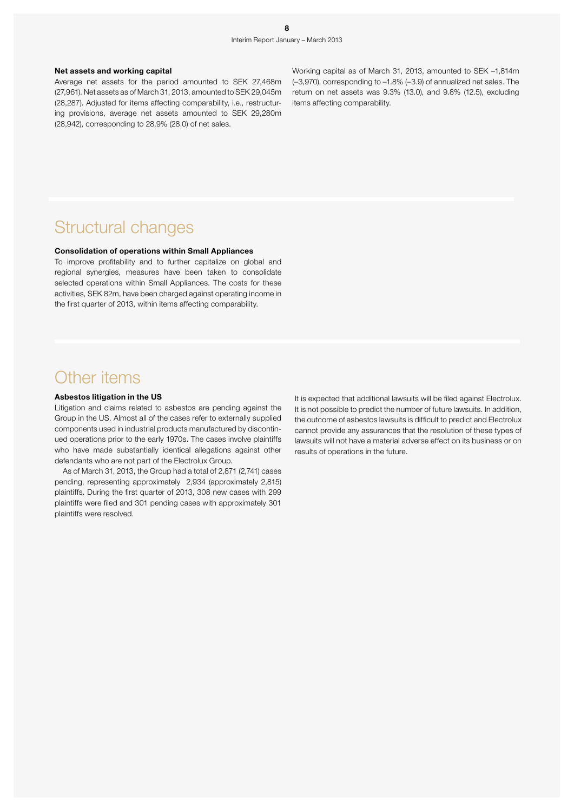### Net assets and working capital

Average net assets for the period amounted to SEK 27,468m (27,961). Net assets as of March 31, 2013, amounted to SEK 29,045m (28,287). Adjusted for items affecting comparability, i.e., restructuring provisions, average net assets amounted to SEK 29,280m (28,942), corresponding to 28.9% (28.0) of net sales.

Working capital as of March 31, 2013, amounted to SEK –1,814m (–3,970), corresponding to –1.8% (–3.9) of annualized net sales. The return on net assets was 9.3% (13.0), and 9.8% (12.5), excluding items affecting comparability.

### Structural changes

### Consolidation of operations within Small Appliances

To improve profitability and to further capitalize on global and regional synergies, measures have been taken to consolidate selected operations within Small Appliances. The costs for these activities, SEK 82m, have been charged against operating income in the first quarter of 2013, within items affecting comparability.

### Other items

### Asbestos litigation in the US

Litigation and claims related to asbestos are pending against the Group in the US. Almost all of the cases refer to externally supplied components used in industrial products manufactured by discontinued operations prior to the early 1970s. The cases involve plaintiffs who have made substantially identical allegations against other defendants who are not part of the Electrolux Group.

As of March 31, 2013, the Group had a total of 2,871 (2,741) cases pending, representing approximately 2,934 (approximately 2,815) plaintiffs. During the first quarter of 2013, 308 new cases with 299 plaintiffs were filed and 301 pending cases with approximately 301 plaintiffs were resolved.

It is expected that additional lawsuits will be filed against Electrolux. It is not possible to predict the number of future lawsuits. In addition, the outcome of asbestos lawsuits is difficult to predict and Electrolux cannot provide any assurances that the resolution of these types of lawsuits will not have a material adverse effect on its business or on results of operations in the future.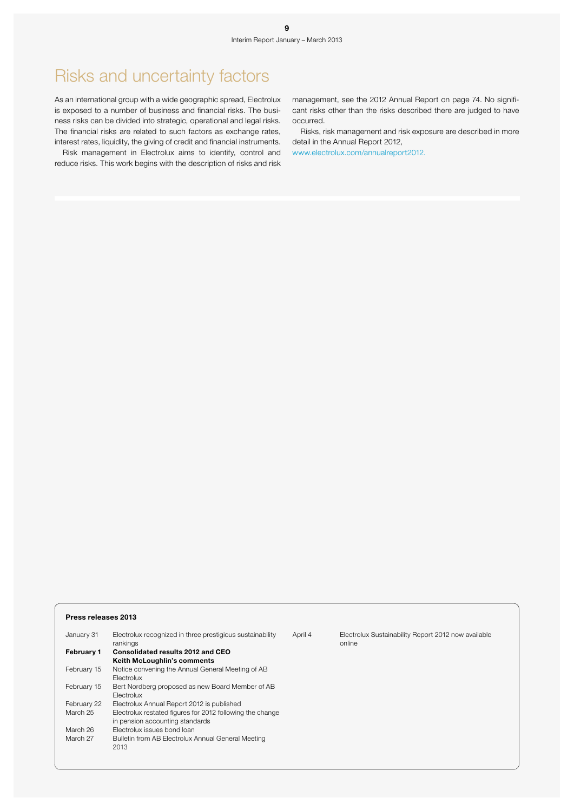### Risks and uncertainty factors

As an international group with a wide geographic spread, Electrolux is exposed to a number of business and financial risks. The business risks can be divided into strategic, operational and legal risks. The financial risks are related to such factors as exchange rates, interest rates, liquidity, the giving of credit and financial instruments.

Risk management in Electrolux aims to identify, control and reduce risks. This work begins with the description of risks and risk

management, see the 2012 Annual Report on page 74. No significant risks other than the risks described there are judged to have occurred.

Risks, risk management and risk exposure are described in more detail in the Annual Report 2012,

www.electrolux.com/annualreport2012.

#### Press releases 2013

| January 31  | Electrolux recognized in three prestigious sustainability<br>rankings | April 4 | Electrolux Sustainability Report 2012 now available<br>online |
|-------------|-----------------------------------------------------------------------|---------|---------------------------------------------------------------|
| February 1  | Consolidated results 2012 and CEO                                     |         |                                                               |
|             | <b>Keith McLoughlin's comments</b>                                    |         |                                                               |
| February 15 | Notice convening the Annual General Meeting of AB                     |         |                                                               |
|             | Electrolux                                                            |         |                                                               |
| February 15 | Bert Nordberg proposed as new Board Member of AB                      |         |                                                               |
|             | <b>Electrolux</b>                                                     |         |                                                               |
| February 22 | Electrolux Annual Report 2012 is published                            |         |                                                               |
| March 25    | Electrolux restated figures for 2012 following the change             |         |                                                               |
|             | in pension accounting standards                                       |         |                                                               |
| March 26    | Electrolux issues bond loan                                           |         |                                                               |
| March 27    | Bulletin from AB Electrolux Annual General Meeting                    |         |                                                               |
|             | 2013                                                                  |         |                                                               |
|             |                                                                       |         |                                                               |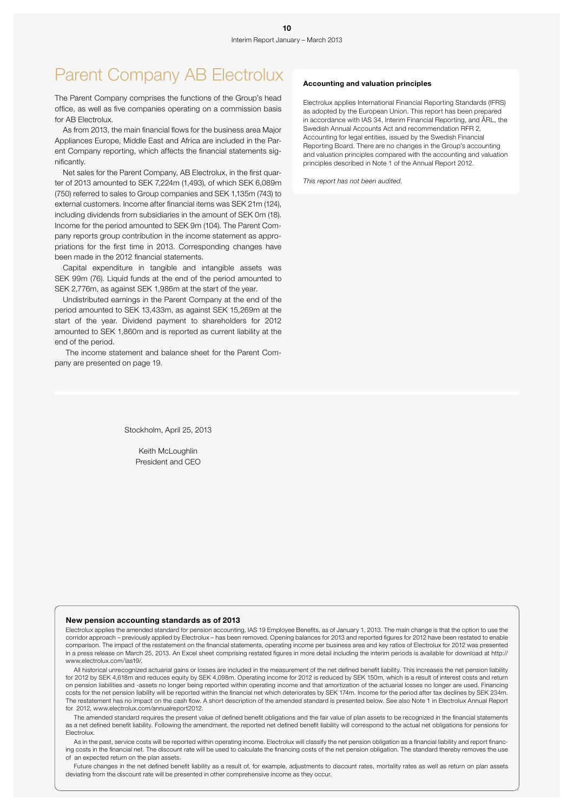# Parent Company AB Electrolux Accounting and valuation principles

The Parent Company comprises the functions of the Group's head office, as well as five companies operating on a commission basis for AB Electrolux.

As from 2013, the main financial flows for the business area Major Appliances Europe, Middle East and Africa are included in the Parent Company reporting, which affects the financial statements significantly.

Net sales for the Parent Company, AB Electrolux, in the first quarter of 2013 amounted to SEK 7,224m (1,493), of which SEK 6,089m (750) referred to sales to Group companies and SEK 1,135m (743) to external customers. Income after financial items was SEK 21m (124), including dividends from subsidiaries in the amount of SEK 0m (18). Income for the period amounted to SEK 9m (104). The Parent Company reports group contribution in the income statement as appropriations for the first time in 2013. Corresponding changes have been made in the 2012 financial statements.

Capital expenditure in tangible and intangible assets was SEK 99m (76). Liquid funds at the end of the period amounted to SEK 2,776m, as against SEK 1,986m at the start of the year.

Undistributed earnings in the Parent Company at the end of the period amounted to SEK 13,433m, as against SEK 15,269m at the start of the year. Dividend payment to shareholders for 2012 amounted to SEK 1,860m and is reported as current liability at the end of the period.

 The income statement and balance sheet for the Parent Company are presented on page 19.

Electrolux applies International Financial Reporting Standards (IFRS) as adopted by the European Union. This report has been prepared in accordance with IAS 34, Interim Financial Reporting, and ÅRL, the Swedish Annual Accounts Act and recommendation RFR 2, Accounting for legal entities, issued by the Swedish Financial Reporting Board. There are no changes in the Group's accounting and valuation principles compared with the accounting and valuation principles described in Note 1 of the Annual Report 2012.

*This report has not been audited.*

Stockholm, April 25, 2013

Keith McLoughlin President and CEO

#### New pension accounting standards as of 2013

Electrolux applies the amended standard for pension accounting, IAS 19 Employee Benefits, as of January 1, 2013. The main change is that the option to use the corridor approach – previously applied by Electrolux – has been removed. Opening balances for 2013 and reported figures for 2012 have been restated to enable comparison. The impact of the restatement on the financial statements, operating income per business area and key ratios of Electrolux for 2012 was presented in a press release on March 25, 2013. An Excel sheet comprising restated figures in more detail including the interim periods is available for download at http:// www.electrolux.com/ias19/.

All historical unrecognized actuarial gains or losses are included in the measurement of the net defined benefit liability. This increases the net pension liability for 2012 by SEK 4,618m and reduces equity by SEK 4,098m. Operating income for 2012 is reduced by SEK 150m, which is a result of interest costs and return on pension liabilities and -assets no longer being reported within operating income and that amortization of the actuarial losses no longer are used. Financing costs for the net pension liability will be reported within the financial net which deteriorates by SEK 174m. Income for the period after tax declines by SEK 234m. The restatement has no impact on the cash flow. A short description of the amended standard is presented below. See also Note 1 in Electrolux Annual Report for 2012, www.electrolux.com/annualreport2012.

The amended standard requires the present value of defined benefit obligations and the fair value of plan assets to be recognized in the financial statements as a net defined benefit liability. Following the amendment, the reported net defined benefit liability will correspond to the actual net obligations for pensions for Electrolux.

As in the past, service costs will be reported within operating income. Electrolux will classify the net pension obligation as a financial liability and report financing costs in the financial net. The discount rate will be used to calculate the financing costs of the net pension obligation. The standard thereby removes the use of an expected return on the plan assets.

Future changes in the net defined benefit liability as a result of, for example, adjustments to discount rates, mortality rates as well as return on plan assets deviating from the discount rate will be presented in other comprehensive income as they occur.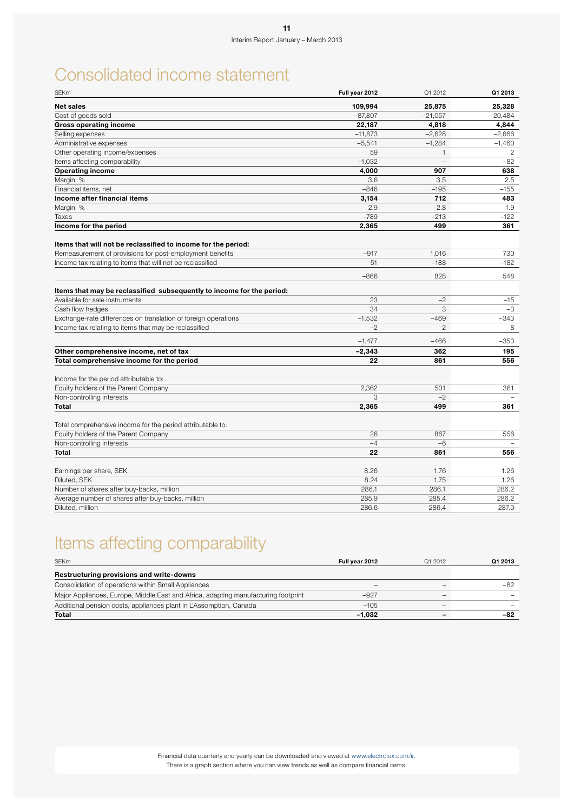# Consolidated income statement

| <b>SEKm</b>                                                                    | Full year 2012 | Q1 2012        | Q1 2013   |
|--------------------------------------------------------------------------------|----------------|----------------|-----------|
| <b>Net sales</b>                                                               | 109,994        | 25,875         | 25,328    |
| Cost of goods sold                                                             | $-87,807$      | $-21,057$      | $-20,484$ |
| <b>Gross operating income</b>                                                  | 22,187         | 4,818          | 4,844     |
| Selling expenses                                                               | $-11,673$      | $-2,628$       | $-2,666$  |
| Administrative expenses                                                        | $-5,541$       | $-1,284$       | $-1,460$  |
| Other operating income/expenses                                                | 59             | $\mathbf{1}$   | 2         |
| Items affecting comparability                                                  | $-1,032$       |                | $-82$     |
| <b>Operating income</b>                                                        | 4,000          | 907            | 638       |
| Margin, %                                                                      | 3.6            | 3.5            | 2.5       |
| Financial items, net                                                           | $-846$         | $-195$         | $-155$    |
| Income after financial items                                                   | 3,154          | 712            | 483       |
| Margin, %                                                                      | 2.9            | 2.8            | 1.9       |
| Taxes                                                                          | $-789$         | $-213$         | $-122$    |
| Income for the period                                                          | 2,365          | 499            | 361       |
| Items that will not be reclassified to income for the period:                  |                |                |           |
| Remeasurement of provisions for post-employment benefits                       | $-917$         | 1,016          | 730       |
| Income tax relating to items that will not be reclassified                     | 51             | $-188$         | $-182$    |
|                                                                                | $-866$         | 828            | 548       |
| Items that may be reclassified subsequently to income for the period:          |                |                |           |
| Available for sale instruments                                                 | 23             | $-2$           | -15       |
| Cash flow hedges                                                               | 34             | 3              | $-3$      |
| Exchange-rate differences on translation of foreign operations                 | $-1,532$       | $-469$         | $-343$    |
| Income tax relating to items that may be reclassified                          | $-2$           | $\overline{c}$ | 8         |
|                                                                                | $-1,477$       | $-466$         | $-353$    |
| Other comprehensive income, net of tax                                         | $-2,343$       | 362            | 195       |
| Total comprehensive income for the period                                      | 22             | 861            | 556       |
|                                                                                |                |                |           |
| Income for the period attributable to:<br>Equity holders of the Parent Company | 2,362          | 501            | 361       |
| Non-controlling interests                                                      | 3              | $-2$           |           |
| <b>Total</b>                                                                   | 2,365          | 499            | 361       |
|                                                                                |                |                |           |
| Total comprehensive income for the period attributable to:                     |                |                |           |
| Equity holders of the Parent Company                                           | 26             | 867            | 556       |
| Non-controlling interests                                                      | $-4$           | $-6$           |           |
| Total                                                                          | 22             | 861            | 556       |
| Earnings per share, SEK                                                        | 8.26           | 1.76           | 1.26      |
| Diluted, SEK                                                                   | 8.24           | 1.75           | 1.26      |
| Number of shares after buy-backs, million                                      | 286.1          | 286.1          | 286.2     |
| Average number of shares after buy-backs, million                              | 285.9          | 285.4          | 286.2     |
| Diluted, million                                                               | 286.6          | 286.4          | 287.0     |

# Items affecting comparability

| <b>SEKm</b>                                                                        | Full year 2012           | Q1 2012 | Q1 2013 |
|------------------------------------------------------------------------------------|--------------------------|---------|---------|
| Restructuring provisions and write-downs                                           |                          |         |         |
| Consolidation of operations within Small Appliances                                | $\overline{\phantom{a}}$ |         |         |
| Major Appliances, Europe, Middle East and Africa, adapting manufacturing footprint | $-927$                   |         |         |
| Additional pension costs, appliances plant in L'Assomption, Canada                 | $-105$                   | -       |         |
| Total                                                                              | $-1.032$                 |         | -82     |

Financial data quarterly and yearly can be downloaded and viewed at www.electrolux.com/ir. There is a graph section where you can view trends as well as compare financial items.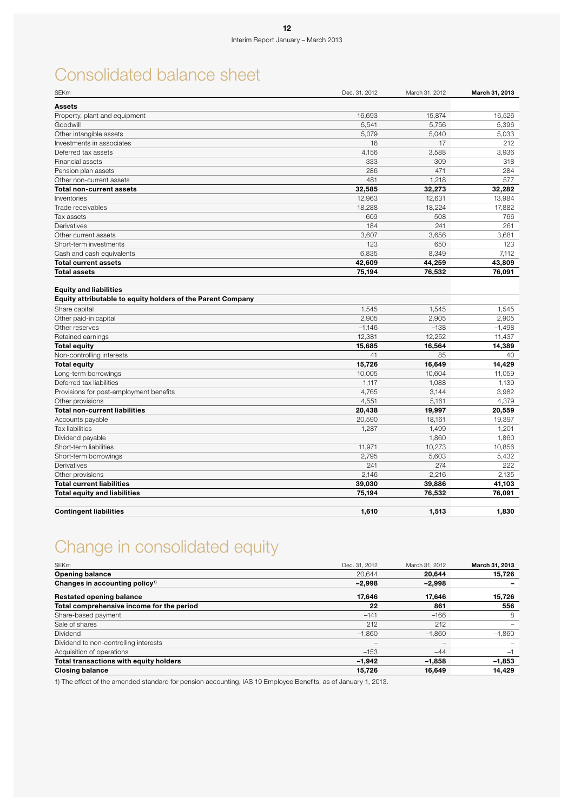# Consolidated balance sheet

| <b>SEKm</b>                                                                                  | Dec. 31, 2012 | March 31, 2012 | March 31, 2013 |
|----------------------------------------------------------------------------------------------|---------------|----------------|----------------|
| <b>Assets</b>                                                                                |               |                |                |
| Property, plant and equipment                                                                | 16,693        | 15,874         | 16,526         |
| Goodwill                                                                                     | 5,541         | 5,756          | 5,396          |
| Other intangible assets                                                                      | 5,079         | 5.040          | 5,033          |
| Investments in associates                                                                    | 16            | 17             | 212            |
| Deferred tax assets                                                                          | 4,156         | 3,588          | 3,936          |
| Financial assets                                                                             | 333           | 309            | 318            |
| Pension plan assets                                                                          | 286           | 471            | 284            |
| Other non-current assets                                                                     | 481           | 1,218          | 577            |
| <b>Total non-current assets</b>                                                              | 32,585        | 32,273         | 32.282         |
| Inventories                                                                                  | 12,963        | 12,631         | 13,984         |
| Trade receivables                                                                            | 18,288        | 18,224         | 17,882         |
| Tax assets                                                                                   | 609           | 508            | 766            |
| Derivatives                                                                                  | 184           | 241            | 261            |
| Other current assets                                                                         | 3,607         | 3,656          | 3,681          |
| Short-term investments                                                                       | 123           | 650            | 123            |
| Cash and cash equivalents                                                                    | 6.835         | 8,349          | 7.112          |
| <b>Total current assets</b>                                                                  | 42,609        | 44,259         | 43,809         |
| <b>Total assets</b>                                                                          | 75,194        | 76,532         | 76,091         |
| <b>Equity and liabilities</b><br>Equity attributable to equity holders of the Parent Company |               |                |                |
| Share capital                                                                                | 1,545         | 1,545          | 1,545          |
| Other paid-in capital                                                                        | 2,905         | 2,905          | 2,905          |
| Other reserves                                                                               | $-1,146$      | $-138$         | $-1,498$       |
| Retained earnings                                                                            | 12,381        | 12,252         | 11,437         |
| <b>Total equity</b>                                                                          | 15,685        | 16,564         | 14,389         |
| Non-controlling interests                                                                    | 41            | 85             | 40             |
| <b>Total equity</b>                                                                          | 15,726        | 16,649         | 14,429         |
| Long-term borrowings                                                                         | 10,005        | 10,604         | 11,059         |
| Deferred tax liabilities                                                                     | 1,117         | 1,088          | 1,139          |
| Provisions for post-employment benefits                                                      | 4,765         | 3,144          | 3,982          |
| Other provisions                                                                             | 4,551         | 5,161          | 4,379          |
| <b>Total non-current liabilities</b>                                                         | 20,438        | 19,997         | 20,559         |
| Accounts payable                                                                             | 20,590        | 18,161         | 19,397         |
| <b>Tax liabilities</b>                                                                       | 1,287         | 1,499          | 1,201          |
| Dividend payable                                                                             |               | 1,860          | 1,860          |
| Short-term liabilities                                                                       | 11,971        | 10,273         | 10,856         |
| Short-term borrowings                                                                        | 2,795         | 5,603          | 5,432          |
| Derivatives                                                                                  | 241           | 274            | 222            |
| Other provisions                                                                             | 2,146         | 2,216          | 2,135          |
| <b>Total current liabilities</b>                                                             | 39,030        | 39,886         | 41,103         |
| <b>Total equity and liabilities</b>                                                          | 75,194        | 76,532         | 76,091         |
| <b>Contingent liabilities</b>                                                                | 1,610         | 1,513          | 1,830          |

# Change in consolidated equity

| <b>SEKm</b>                                | Dec. 31, 2012 | March 31, 2012 | March 31, 2013 |
|--------------------------------------------|---------------|----------------|----------------|
| <b>Opening balance</b>                     | 20.644        | 20,644         | 15,726         |
| Changes in accounting policy <sup>1)</sup> | $-2,998$      | -2,998         |                |
| <b>Restated opening balance</b>            | 17,646        | 17,646         | 15,726         |
| Total comprehensive income for the period  | 22            | 861            | 556            |
| Share-based payment                        | $-141$        | $-166$         | 8              |
| Sale of shares                             | 212           | 212            |                |
| <b>Dividend</b>                            | $-1,860$      | $-1,860$       | $-1,860$       |
| Dividend to non-controlling interests      |               | -              |                |
| Acquisition of operations                  | $-153$        | $-44$          | ÷,             |
| Total transactions with equity holders     | $-1.942$      | $-1.858$       | $-1,853$       |
| <b>Closing balance</b>                     | 15,726        | 16,649         | 14,429         |

1) The effect of the amended standard for pension accounting, IAS 19 Employee Benefits, as of January 1, 2013.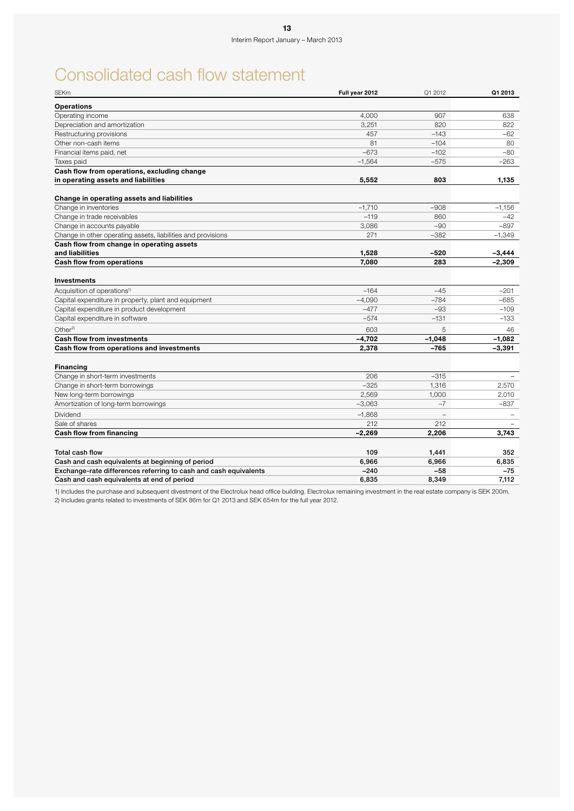# Consolidated cash flow statement

| <b>SEKm</b>                                                      | Full year 2012 | Q1 2012  | Q1 2013  |
|------------------------------------------------------------------|----------------|----------|----------|
| <b>Operations</b>                                                |                |          |          |
| Operating income                                                 | 4.000          | 907      | 638      |
| Depreciation and amortization                                    | 3,251          | 820      | 822      |
| Restructuring provisions                                         | 457            | $-143$   | $-62$    |
| Other non-cash items                                             | 81             | $-104$   | 80       |
| Financial items paid, net                                        | $-673$         | $-102$   | $-80$    |
| Taxes paid                                                       | $-1,564$       | $-575$   | $-263$   |
| Cash flow from operations, excluding change                      |                |          |          |
| in operating assets and liabilities                              | 5,552          | 803      | 1,135    |
| Change in operating assets and liabilities                       |                |          |          |
| Change in inventories                                            | $-1,710$       | $-908$   | $-1,156$ |
| Change in trade receivables                                      | $-119$         | 860      | -42      |
| Change in accounts payable                                       | 3,086          | $-90$    | $-897$   |
| Change in other operating assets, liabilities and provisions     | 271            | $-382$   | $-1,349$ |
| Cash flow from change in operating assets                        |                |          |          |
| and liabilities                                                  | 1,528          | -520     | -3,444   |
| <b>Cash flow from operations</b>                                 | 7.080          | 283      | $-2,309$ |
| <b>Investments</b>                                               |                |          |          |
| Acquisition of operations <sup>1)</sup>                          | $-164$         | $-45$    | $-201$   |
| Capital expenditure in property, plant and equipment             | $-4,090$       | $-784$   | $-685$   |
| Capital expenditure in product development                       | $-477$         | $-93$    | $-109$   |
| Capital expenditure in software                                  | $-574$         | $-131$   | $-133$   |
| Other <sup>2)</sup>                                              | 603            | 5        | 46       |
| <b>Cash flow from investments</b>                                | $-4,702$       | $-1,048$ | $-1,082$ |
| Cash flow from operations and investments                        | 2,378          | $-765$   | -3,391   |
| <b>Financing</b>                                                 |                |          |          |
| Change in short-term investments                                 | 206            | $-315$   |          |
| Change in short-term borrowings                                  | $-325$         | 1,316    | 2,570    |
| New long-term borrowings                                         | 2,569          | 1,000    | 2,010    |
| Amortization of long-term borrowings                             | $-3,063$       | $-7$     | $-837$   |
| Dividend                                                         | $-1,868$       |          |          |
| Sale of shares                                                   | 212            | 212      |          |
| Cash flow from financing                                         | $-2,269$       | 2,206    | 3,743    |
|                                                                  |                |          |          |
| Total cash flow                                                  | 109            | 1,441    | 352      |
| Cash and cash equivalents at beginning of period                 | 6,966          | 6,966    | 6,835    |
| Exchange-rate differences referring to cash and cash equivalents | $-240$         | $-58$    | $-75$    |
| Cash and cash equivalents at end of period                       | 6,835          | 8,349    | 7.112    |

1) Includes the purchase and subsequent divestment of the Electrolux head office building. Electrolux remaining investment in the real estate company is SEK 200m. 2) Includes grants related to investments of SEK 86m for Q1 2013 and SEK 654m for the full year 2012.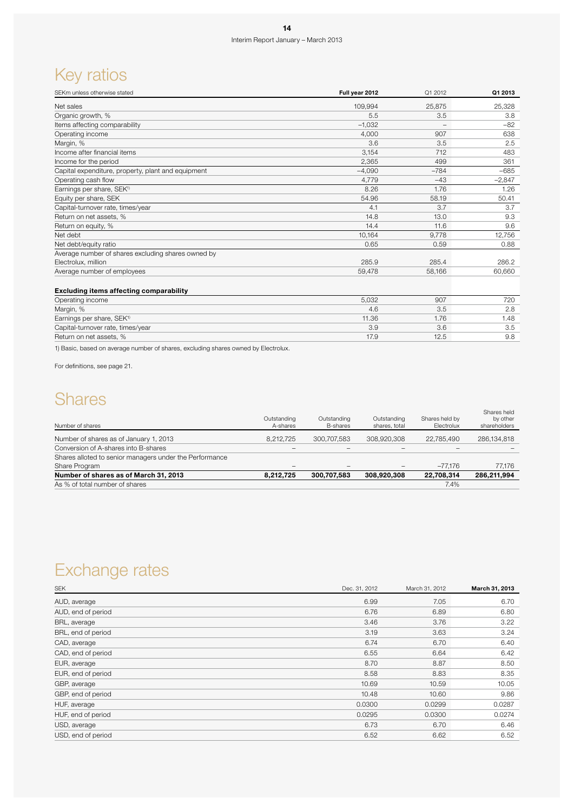# Key ratios

| SEKm unless otherwise stated                       | Full year 2012 | Q1 2012 | Q1 2013  |
|----------------------------------------------------|----------------|---------|----------|
| Net sales                                          | 109,994        | 25,875  | 25,328   |
| Organic growth, %                                  | 5.5            | 3.5     | 3.8      |
| Items affecting comparability                      | $-1,032$       |         | $-82$    |
| Operating income                                   | 4,000          | 907     | 638      |
| Margin, %                                          | 3.6            | 3.5     | 2.5      |
| Income after financial items                       | 3,154          | 712     | 483      |
| Income for the period                              | 2,365          | 499     | 361      |
| Capital expenditure, property, plant and equipment | $-4.090$       | $-784$  | $-685$   |
| Operating cash flow                                | 4,779          | $-43$   | $-2,847$ |
| Earnings per share, SEK <sup>1)</sup>              | 8.26           | 1.76    | 1.26     |
| Equity per share, SEK                              | 54.96          | 58.19   | 50.41    |
| Capital-turnover rate, times/year                  | 4.1            | 3.7     | 3.7      |
| Return on net assets, %                            | 14.8           | 13.0    | 9.3      |
| Return on equity, %                                | 14.4           | 11.6    | 9.6      |
| Net debt                                           | 10,164         | 9,778   | 12,756   |
| Net debt/equity ratio                              | 0.65           | 0.59    | 0.88     |
| Average number of shares excluding shares owned by |                |         |          |
| Electrolux, million                                | 285.9          | 285.4   | 286.2    |
| Average number of employees                        | 59,478         | 58,166  | 60,660   |
| <b>Excluding items affecting comparability</b>     |                |         |          |
| Operating income                                   | 5,032          | 907     | 720      |
| Margin, %                                          | 4.6            | 3.5     | 2.8      |
| Earnings per share, SEK <sup>1)</sup>              | 11.36          | 1.76    | 1.48     |
| Capital-turnover rate, times/year                  | 3.9            | 3.6     | 3.5      |
| Return on net assets, %                            | 17.9           | 12.5    | 9.8      |

1) Basic, based on average number of shares, excluding shares owned by Electrolux.

For definitions, see page 21.

### **Shares**

|                          |                                                   |                                                              | Shares held<br>by other<br>shareholders                                                         |
|--------------------------|---------------------------------------------------|--------------------------------------------------------------|-------------------------------------------------------------------------------------------------|
|                          |                                                   | 22.785.490                                                   | 286,134,818                                                                                     |
| $\overline{\phantom{0}}$ | $\overline{\phantom{0}}$                          |                                                              |                                                                                                 |
|                          |                                                   |                                                              |                                                                                                 |
| $\qquad \qquad$          | $\qquad \qquad \blacksquare$                      | $-77.176$                                                    | 77.176                                                                                          |
|                          |                                                   | 22,708,314                                                   | 286.211.994                                                                                     |
|                          |                                                   | 7.4%                                                         |                                                                                                 |
|                          | Outstanding<br>A-shares<br>8.212.725<br>8.212.725 | Outstanding<br><b>B-shares</b><br>300.707.583<br>300.707.583 | Shares held by<br>Outstanding<br>Electrolux<br>shares, total<br>308.920.308<br>-<br>308.920.308 |

## Exchange rates

| <b>SEK</b>         | Dec. 31, 2012 | March 31, 2012 | March 31, 2013 |
|--------------------|---------------|----------------|----------------|
| AUD, average       | 6.99          | 7.05           | 6.70           |
| AUD, end of period | 6.76          | 6.89           | 6.80           |
| BRL, average       | 3.46          | 3.76           | 3.22           |
| BRL, end of period | 3.19          | 3.63           | 3.24           |
| CAD, average       | 6.74          | 6.70           | 6.40           |
| CAD, end of period | 6.55          | 6.64           | 6.42           |
| EUR, average       | 8.70          | 8.87           | 8.50           |
| EUR, end of period | 8.58          | 8.83           | 8.35           |
| GBP, average       | 10.69         | 10.59          | 10.05          |
| GBP, end of period | 10.48         | 10.60          | 9.86           |
| HUF, average       | 0.0300        | 0.0299         | 0.0287         |
| HUF, end of period | 0.0295        | 0.0300         | 0.0274         |
| USD, average       | 6.73          | 6.70           | 6.46           |
| USD, end of period | 6.52          | 6.62           | 6.52           |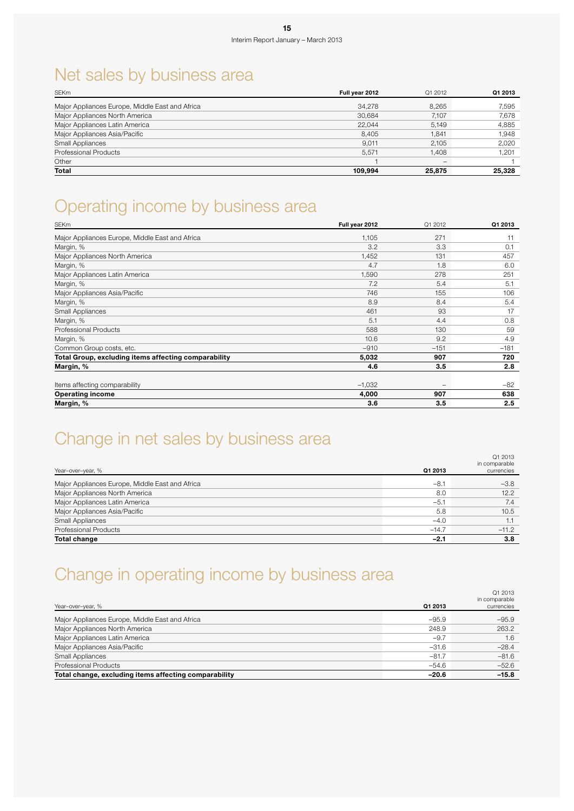# Net sales by business area

| <b>SEKm</b>                                     | Full vear 2012 | Q1 2012 | Q1 2013 |
|-------------------------------------------------|----------------|---------|---------|
| Major Appliances Europe, Middle East and Africa | 34.278         | 8.265   | 7,595   |
| Major Appliances North America                  | 30.684         | 7.107   | 7,678   |
| Major Appliances Latin America                  | 22.044         | 5,149   | 4,885   |
| Major Appliances Asia/Pacific                   | 8.405          | 1.841   | 1,948   |
| Small Appliances                                | 9.011          | 2.105   | 2,020   |
| <b>Professional Products</b>                    | 5.571          | 1.408   | 1,201   |
| Other                                           |                | -       |         |
| <b>Total</b>                                    | 109.994        | 25,875  | 25,328  |

### Operating income by business area

| Major Appliances Europe, Middle East and Africa      | 1,105    | 271    | 11     |
|------------------------------------------------------|----------|--------|--------|
| Margin, %                                            | 3.2      | 3.3    | 0.1    |
| Major Appliances North America                       | 1,452    | 131    | 457    |
| Margin, %                                            | 4.7      | 1.8    | 6.0    |
| Major Appliances Latin America                       | 1,590    | 278    | 251    |
| Margin, %                                            | 7.2      | 5.4    | 5.1    |
| Major Appliances Asia/Pacific                        | 746      | 155    | 106    |
| Margin, %                                            | 8.9      | 8.4    | 5.4    |
| Small Appliances                                     | 461      | 93     | 17     |
| Margin, %                                            | 5.1      | 4.4    | 0.8    |
| <b>Professional Products</b>                         | 588      | 130    | 59     |
| Margin, %                                            | 10.6     | 9.2    | 4.9    |
| Common Group costs, etc.                             | $-910$   | $-151$ | $-181$ |
| Total Group, excluding items affecting comparability | 5,032    | 907    | 720    |
| Margin, %                                            | 4.6      | 3.5    | 2.8    |
|                                                      |          |        |        |
| Items affecting comparability                        | $-1,032$ |        | -82    |
| <b>Operating income</b>                              | 4,000    | 907    | 638    |
| Margin, %                                            | 3.6      | 3.5    | 2.5    |

# Change in net sales by business area

|                                                 |         | Q1 2013<br>in comparable |
|-------------------------------------------------|---------|--------------------------|
| Year-over-year, %                               | Q1 2013 | currencies               |
| Major Appliances Europe, Middle East and Africa | $-8.1$  | $-3.8$                   |
| Major Appliances North America                  | 8.0     | 12.2                     |
| Major Appliances Latin America                  | $-5.1$  | 7.4                      |
| Major Appliances Asia/Pacific                   | 5.8     | 10.5                     |
| Small Appliances                                | $-4.0$  | 1.1                      |
| Professional Products                           | $-14.7$ | $-11.2$                  |
| <b>Total change</b>                             | $-2.1$  | 3.8                      |

### Change in operating income by business area

|                                                       |         | Q1 2013<br>in comparable |
|-------------------------------------------------------|---------|--------------------------|
| Year-over-year, %                                     | Q1 2013 | currencies               |
| Major Appliances Europe, Middle East and Africa       | $-95.9$ | $-95.9$                  |
| Major Appliances North America                        | 248.9   | 263.2                    |
| Major Appliances Latin America                        | $-9.7$  | 1.6                      |
| Major Appliances Asia/Pacific                         | $-31.6$ | $-28.4$                  |
| <b>Small Appliances</b>                               | $-81.7$ | $-81.6$                  |
| <b>Professional Products</b>                          | $-54.6$ | $-52.6$                  |
| Total change, excluding items affecting comparability | $-20.6$ | $-15.8$                  |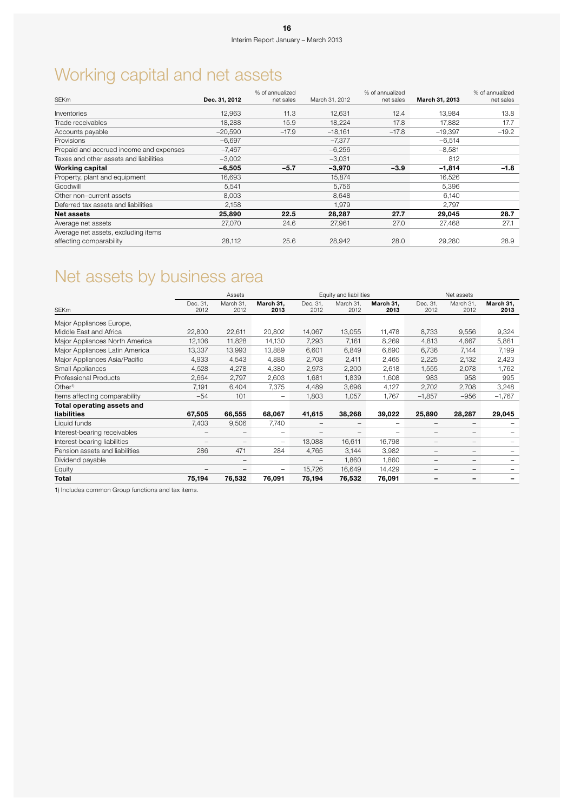# Working capital and net assets

|                                         |               | % of annualized |                | % of annualized |                | % of annualized |
|-----------------------------------------|---------------|-----------------|----------------|-----------------|----------------|-----------------|
| <b>SEKm</b>                             | Dec. 31, 2012 | net sales       | March 31, 2012 | net sales       | March 31, 2013 | net sales       |
| Inventories                             | 12.963        | 11.3            | 12.631         | 12.4            | 13.984         | 13.8            |
| Trade receivables                       | 18,288        | 15.9            | 18,224         | 17.8            | 17.882         | 17.7            |
| Accounts payable                        | $-20.590$     | $-17.9$         | $-18.161$      | $-17.8$         | $-19,397$      | $-19.2$         |
| Provisions                              | $-6,697$      |                 | $-7.377$       |                 | $-6,514$       |                 |
| Prepaid and accrued income and expenses | $-7,467$      |                 | $-6,256$       |                 | $-8,581$       |                 |
| Taxes and other assets and liabilities  | $-3,002$      |                 | $-3,031$       |                 | 812            |                 |
| <b>Working capital</b>                  | $-6,505$      | $-5.7$          | $-3,970$       | $-3.9$          | $-1,814$       | $-1.8$          |
| Property, plant and equipment           | 16,693        |                 | 15,874         |                 | 16,526         |                 |
| Goodwill                                | 5,541         |                 | 5,756          |                 | 5,396          |                 |
| Other non-current assets                | 8.003         |                 | 8.648          |                 | 6.140          |                 |
| Deferred tax assets and liabilities     | 2,158         |                 | 1.979          |                 | 2.797          |                 |
| <b>Net assets</b>                       | 25,890        | 22.5            | 28,287         | 27.7            | 29,045         | 28.7            |
| Average net assets                      | 27.070        | 24.6            | 27.961         | 27.0            | 27,468         | 27.1            |
| Average net assets, excluding items     |               |                 |                |                 |                |                 |
| affecting comparability                 | 28,112        | 25.6            | 28.942         | 28.0            | 29,280         | 28.9            |

# Net assets by business area

|                                |                          | Assets            |                   |                  | Equity and liabilities |                   |                          | Net assets               |                          |
|--------------------------------|--------------------------|-------------------|-------------------|------------------|------------------------|-------------------|--------------------------|--------------------------|--------------------------|
| <b>SEKm</b>                    | Dec. 31,<br>2012         | March 31,<br>2012 | March 31,<br>2013 | Dec. 31,<br>2012 | March 31,<br>2012      | March 31,<br>2013 | Dec. 31,<br>2012         | March 31,<br>2012        | March 31,<br>2013        |
| Major Appliances Europe,       |                          |                   |                   |                  |                        |                   |                          |                          |                          |
| Middle East and Africa         | 22,800                   | 22,611            | 20,802            | 14,067           | 13,055                 | 11,478            | 8,733                    | 9,556                    | 9,324                    |
| Major Appliances North America | 12,106                   | 11,828            | 14,130            | 7,293            | 7,161                  | 8,269             | 4,813                    | 4,667                    | 5,861                    |
| Major Appliances Latin America | 13,337                   | 13,993            | 13,889            | 6,601            | 6,849                  | 6,690             | 6,736                    | 7,144                    | 7,199                    |
| Major Appliances Asia/Pacific  | 4,933                    | 4,543             | 4,888             | 2,708            | 2,411                  | 2,465             | 2,225                    | 2,132                    | 2,423                    |
| Small Appliances               | 4,528                    | 4,278             | 4,380             | 2,973            | 2,200                  | 2,618             | 1,555                    | 2,078                    | 1,762                    |
| <b>Professional Products</b>   | 2,664                    | 2,797             | 2,603             | 1,681            | 1,839                  | 1,608             | 983                      | 958                      | 995                      |
| Other <sup>1</sup>             | 7,191                    | 6,404             | 7,375             | 4,489            | 3,696                  | 4,127             | 2,702                    | 2,708                    | 3,248                    |
| Items affecting comparability  | $-54$                    | 101               | -                 | 1,803            | 1,057                  | 1,767             | $-1,857$                 | $-956$                   | $-1,767$                 |
| Total operating assets and     |                          |                   |                   |                  |                        |                   |                          |                          |                          |
| <b>liabilities</b>             | 67,505                   | 66,555            | 68,067            | 41,615           | 38,268                 | 39,022            | 25,890                   | 28,287                   | 29,045                   |
| Liquid funds                   | 7,403                    | 9,506             | 7,740             | -                | -                      | -                 | -                        | $\overline{\phantom{0}}$ |                          |
| Interest-bearing receivables   | -                        | -                 |                   |                  | -                      | -                 | $\qquad \qquad -$        | $-$                      |                          |
| Interest-bearing liabilities   | $\overline{\phantom{0}}$ | -                 | $\qquad \qquad$   | 13,088           | 16,611                 | 16,798            | $\qquad \qquad -$        | $\overline{\phantom{0}}$ |                          |
| Pension assets and liabilities | 286                      | 471               | 284               | 4,765            | 3,144                  | 3,982             | $\qquad \qquad -$        | $-$                      |                          |
| Dividend payable               |                          | -                 |                   |                  | 1,860                  | 1,860             | $\overline{\phantom{m}}$ | $\overline{\phantom{0}}$ |                          |
| Equity                         |                          |                   |                   | 15,726           | 16,649                 | 14,429            | -                        | $\overline{\phantom{0}}$ |                          |
| Total                          | 75,194                   | 76,532            | 76,091            | 75,194           | 76,532                 | 76,091            | -                        | $\overline{\phantom{0}}$ | $\overline{\phantom{0}}$ |

1) Includes common Group functions and tax items.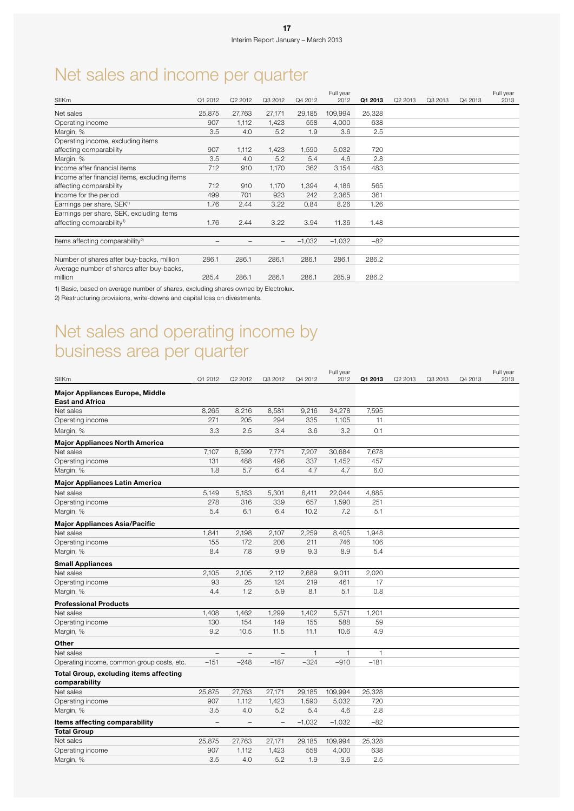# Net sales and income per quarter

|                                               |         |         |         |          | Full year |         |         |         |         | Full year |
|-----------------------------------------------|---------|---------|---------|----------|-----------|---------|---------|---------|---------|-----------|
| <b>SEKm</b>                                   | Q1 2012 | Q2 2012 | Q3 2012 | Q4 2012  | 2012      | Q1 2013 | Q2 2013 | Q3 2013 | Q4 2013 | 2013      |
| Net sales                                     | 25,875  | 27,763  | 27,171  | 29,185   | 109,994   | 25,328  |         |         |         |           |
| Operating income                              | 907     | 1,112   | 1,423   | 558      | 4,000     | 638     |         |         |         |           |
| Margin, %                                     | 3.5     | 4.0     | 5.2     | 1.9      | 3.6       | 2.5     |         |         |         |           |
| Operating income, excluding items             |         |         |         |          |           |         |         |         |         |           |
| affecting comparability                       | 907     | 1,112   | 1,423   | 1,590    | 5,032     | 720     |         |         |         |           |
| Margin, %                                     | 3.5     | 4.0     | 5.2     | 5.4      | 4.6       | 2.8     |         |         |         |           |
| Income after financial items                  | 712     | 910     | 1,170   | 362      | 3,154     | 483     |         |         |         |           |
| Income after financial items, excluding items |         |         |         |          |           |         |         |         |         |           |
| affecting comparability                       | 712     | 910     | 1,170   | 1,394    | 4,186     | 565     |         |         |         |           |
| Income for the period                         | 499     | 701     | 923     | 242      | 2,365     | 361     |         |         |         |           |
| Earnings per share, SEK <sup>1)</sup>         | 1.76    | 2.44    | 3.22    | 0.84     | 8.26      | 1.26    |         |         |         |           |
| Earnings per share, SEK, excluding items      |         |         |         |          |           |         |         |         |         |           |
| affecting comparability <sup>1)</sup>         | 1.76    | 2.44    | 3.22    | 3.94     | 11.36     | 1.48    |         |         |         |           |
|                                               |         |         |         |          |           |         |         |         |         |           |
| Items affecting comparability <sup>2)</sup>   |         |         |         | $-1,032$ | $-1,032$  | $-82$   |         |         |         |           |
|                                               |         |         |         |          |           |         |         |         |         |           |
| Number of shares after buy-backs, million     | 286.1   | 286.1   | 286.1   | 286.1    | 286.1     | 286.2   |         |         |         |           |
| Average number of shares after buy-backs,     |         |         |         |          |           |         |         |         |         |           |
| million                                       | 285.4   | 286.1   | 286.1   | 286.1    | 285.9     | 286.2   |         |         |         |           |

1) Basic, based on average number of shares, excluding shares owned by Electrolux.

2) Restructuring provisions, write-downs and capital loss on divestments.

### Net sales and operating income by business area per quarter

|                                                                  |                          |                          |                          |              | Full year    |              |         |         |         | Full year |
|------------------------------------------------------------------|--------------------------|--------------------------|--------------------------|--------------|--------------|--------------|---------|---------|---------|-----------|
| SEKm                                                             | Q1 2012                  | Q2 2012                  | Q3 2012                  | Q4 2012      | 2012         | Q1 2013      | Q2 2013 | Q3 2013 | Q4 2013 | 2013      |
| <b>Major Appliances Europe, Middle</b><br><b>East and Africa</b> |                          |                          |                          |              |              |              |         |         |         |           |
| Net sales                                                        | 8,265                    | 8,216                    | 8,581                    | 9,216        | 34,278       | 7,595        |         |         |         |           |
| Operating income                                                 | 271                      | 205                      | 294                      | 335          | 1,105        | 11           |         |         |         |           |
| Margin, %                                                        | 3.3                      | 2.5                      | 3.4                      | 3.6          | 3.2          | 0.1          |         |         |         |           |
| <b>Major Appliances North America</b>                            |                          |                          |                          |              |              |              |         |         |         |           |
| Net sales                                                        | 7,107                    | 8,599                    | 7,771                    | 7,207        | 30,684       | 7,678        |         |         |         |           |
| Operating income                                                 | 131                      | 488                      | 496                      | 337          | 1,452        | 457          |         |         |         |           |
| Margin, %                                                        | 1.8                      | 5.7                      | 6.4                      | 4.7          | 4.7          | 6.0          |         |         |         |           |
| <b>Major Appliances Latin America</b>                            |                          |                          |                          |              |              |              |         |         |         |           |
| Net sales                                                        | 5,149                    | 5,183                    | 5,301                    | 6,411        | 22,044       | 4,885        |         |         |         |           |
| Operating income                                                 | 278                      | 316                      | 339                      | 657          | 1,590        | 251          |         |         |         |           |
| Margin, %                                                        | 5.4                      | 6.1                      | 6.4                      | 10.2         | 7.2          | 5.1          |         |         |         |           |
| <b>Major Appliances Asia/Pacific</b>                             |                          |                          |                          |              |              |              |         |         |         |           |
| Net sales                                                        | 1,841                    | 2,198                    | 2,107                    | 2,259        | 8,405        | 1,948        |         |         |         |           |
| Operating income                                                 | 155                      | 172                      | 208                      | 211          | 746          | 106          |         |         |         |           |
| Margin, %                                                        | 8.4                      | 7.8                      | 9.9                      | 9.3          | 8.9          | 5.4          |         |         |         |           |
| <b>Small Appliances</b>                                          |                          |                          |                          |              |              |              |         |         |         |           |
| Net sales                                                        | 2,105                    | 2,105                    | 2,112                    | 2,689        | 9,011        | 2,020        |         |         |         |           |
| Operating income                                                 | 93                       | 25                       | 124                      | 219          | 461          | 17           |         |         |         |           |
| Margin, %                                                        | 4.4                      | 1.2                      | 5.9                      | 8.1          | 5.1          | 0.8          |         |         |         |           |
| <b>Professional Products</b>                                     |                          |                          |                          |              |              |              |         |         |         |           |
| Net sales                                                        | 1,408                    | 1,462                    | 1,299                    | 1,402        | 5,571        | 1,201        |         |         |         |           |
| Operating income                                                 | 130                      | 154                      | 149                      | 155          | 588          | 59           |         |         |         |           |
| Margin, %                                                        | 9.2                      | 10.5                     | 11.5                     | 11.1         | 10.6         | 4.9          |         |         |         |           |
| Other                                                            |                          |                          |                          |              |              |              |         |         |         |           |
| Net sales                                                        | $\overline{a}$           | $\equiv$                 | $\overline{\phantom{0}}$ | $\mathbf{1}$ | $\mathbf{1}$ | $\mathbf{1}$ |         |         |         |           |
| Operating income, common group costs, etc.                       | $-151$                   | $-248$                   | $-187$                   | $-324$       | $-910$       | $-181$       |         |         |         |           |
| <b>Total Group, excluding items affecting</b><br>comparability   |                          |                          |                          |              |              |              |         |         |         |           |
| Net sales                                                        | 25,875                   | 27,763                   | 27,171                   | 29,185       | 109,994      | 25,328       |         |         |         |           |
| Operating income                                                 | 907                      | 1,112                    | 1,423                    | 1,590        | 5,032        | 720          |         |         |         |           |
| Margin, %                                                        | 3.5                      | 4.0                      | 5.2                      | 5.4          | 4.6          | 2.8          |         |         |         |           |
| Items affecting comparability                                    | $\overline{\phantom{0}}$ | $\overline{\phantom{0}}$ | $\qquad \qquad -$        | $-1,032$     | $-1,032$     | -82          |         |         |         |           |
| <b>Total Group</b>                                               |                          |                          |                          |              |              |              |         |         |         |           |
| Net sales                                                        | 25,875                   | 27,763                   | 27,171                   | 29,185       | 109,994      | 25,328       |         |         |         |           |
| Operating income                                                 | 907                      | 1,112                    | 1,423                    | 558          | 4,000        | 638          |         |         |         |           |
| Margin, %                                                        | 3.5                      | 4.0                      | 5.2                      | 1.9          | 3.6          | 2.5          |         |         |         |           |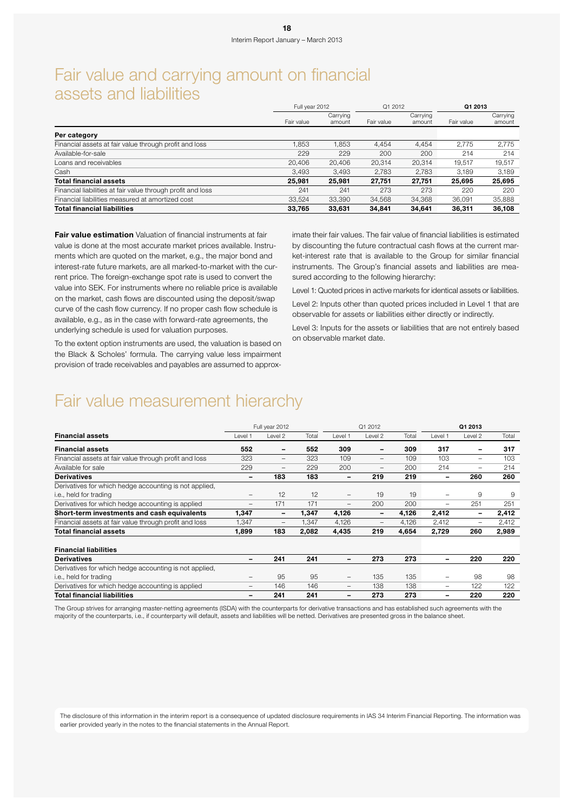### Fair value and carrying amount on financial assets and liabilities

|                                                             | Full year 2012 |                    | Q1 2012    |                    | Q1 2013    |                    |
|-------------------------------------------------------------|----------------|--------------------|------------|--------------------|------------|--------------------|
|                                                             | Fair value     | Carrying<br>amount | Fair value | Carrying<br>amount | Fair value | Carrying<br>amount |
| Per category                                                |                |                    |            |                    |            |                    |
| Financial assets at fair value through profit and loss      | .853           | 1.853              | 4.454      | 4.454              | 2.775      | 2.775              |
| Available-for-sale                                          | 229            | 229                | 200        | 200                | 214        | 214                |
| Loans and receivables                                       | 20,406         | 20.406             | 20,314     | 20.314             | 19.517     | 19.517             |
| Cash                                                        | 3,493          | 3.493              | 2.783      | 2.783              | 3.189      | 3,189              |
| <b>Total financial assets</b>                               | 25,981         | 25.981             | 27.751     | 27,751             | 25.695     | 25,695             |
| Financial liabilities at fair value through profit and loss | 241            | 241                | 273        | 273                | 220        | 220                |
| Financial liabilities measured at amortized cost            | 33,524         | 33,390             | 34,568     | 34,368             | 36,091     | 35,888             |
| <b>Total financial liabilities</b>                          | 33,765         | 33,631             | 34,841     | 34,641             | 36,311     | 36,108             |

**Fair value estimation** Valuation of financial instruments at fair value is done at the most accurate market prices available. Instruments which are quoted on the market, e.g., the major bond and interest-rate future markets, are all marked-to-market with the current price. The foreign-exchange spot rate is used to convert the value into SEK. For instruments where no reliable price is available on the market, cash flows are discounted using the deposit/swap curve of the cash flow currency. If no proper cash flow schedule is available, e.g., as in the case with forward-rate agreements, the underlying schedule is used for valuation purposes.

To the extent option instruments are used, the valuation is based on the Black & Scholes' formula. The carrying value less impairment provision of trade receivables and payables are assumed to approximate their fair values. The fair value of financial liabilities is estimated by discounting the future contractual cash flows at the current market-interest rate that is available to the Group for similar financial instruments. The Group's financial assets and liabilities are measured according to the following hierarchy:

Level 1: Quoted prices in active markets for identical assets or liabilities.

Level 2: Inputs other than quoted prices included in Level 1 that are observable for assets or liabilities either directly or indirectly.

Level 3: Inputs for the assets or liabilities that are not entirely based on observable market date.

### Fair value measurement hierarchy

|                                                        |                          | Full year 2012           |       |                          | Q1 2012                  |       |                 | Q1 2013 |       |
|--------------------------------------------------------|--------------------------|--------------------------|-------|--------------------------|--------------------------|-------|-----------------|---------|-------|
| <b>Financial assets</b>                                | Level 1                  | Level 2                  | Total | I evel 1                 | Level 2                  | Total | Level 1         | Level 2 | Total |
| <b>Financial assets</b>                                | 552                      |                          | 552   | 309                      | $\qquad \qquad$          | 309   | 317             | -       | 317   |
| Financial assets at fair value through profit and loss | 323                      | $\overline{\phantom{a}}$ | 323   | 109                      | $\qquad \qquad -$        | 109   | 103             | -       | 103   |
| Available for sale                                     | 229                      | $\overline{\phantom{0}}$ | 229   | 200                      | $\qquad \qquad -$        | 200   | 214             | -       | 214   |
| <b>Derivatives</b>                                     | -                        | 183                      | 183   |                          | 219                      | 219   |                 | 260     | 260   |
| Derivatives for which hedge accounting is not applied, |                          |                          |       |                          |                          |       |                 |         |       |
| i.e., held for trading                                 | $\qquad \qquad -$        | 12                       | 12    | $\qquad \qquad -$        | 19                       | 19    | $\qquad \qquad$ | 9       | 9     |
| Derivatives for which hedge accounting is applied      | $\overline{\phantom{0}}$ | 171                      | 171   | $\qquad \qquad -$        | 200                      | 200   | -               | 251     | 251   |
| Short-term investments and cash equivalents            | 1,347                    | $\overline{\phantom{a}}$ | 1,347 | 4,126                    | $\overline{\phantom{a}}$ | 4,126 | 2,412           | -       | 2,412 |
| Financial assets at fair value through profit and loss | 1,347                    | $\overline{\phantom{m}}$ | 1,347 | 4,126                    | $\qquad \qquad -$        | 4,126 | 2,412           | -       | 2,412 |
| Total financial assets                                 | 1,899                    | 183                      | 2,082 | 4,435                    | 219                      | 4,654 | 2,729           | 260     | 2,989 |
| <b>Financial liabilities</b>                           |                          |                          |       |                          |                          |       |                 |         |       |
| <b>Derivatives</b>                                     | $\qquad \qquad$          | 241                      | 241   | $\overline{\phantom{0}}$ | 273                      | 273   |                 | 220     | 220   |
| Derivatives for which hedge accounting is not applied, |                          |                          |       |                          |                          |       |                 |         |       |
| i.e., held for trading                                 | $\overline{\phantom{m}}$ | 95                       | 95    | $\qquad \qquad -$        | 135                      | 135   | -               | 98      | 98    |
| Derivatives for which hedge accounting is applied      | $\overline{\phantom{m}}$ | 146                      | 146   | $\qquad \qquad -$        | 138                      | 138   | -               | 122     | 122   |
| <b>Total financial liabilities</b>                     | $\qquad \qquad$          | 241                      | 241   |                          | 273                      | 273   |                 | 220     | 220   |

The Group strives for arranging master-netting agreements (ISDA) with the counterparts for derivative transactions and has established such agreements with the majority of the counterparts, i.e., if counterparty will default, assets and liabilities will be netted. Derivatives are presented gross in the balance sheet.

The disclosure of this information in the interim report is a consequence of updated disclosure requirements in IAS 34 Interim Financial Reporting. The information was earlier provided yearly in the notes to the financial statements in the Annual Report.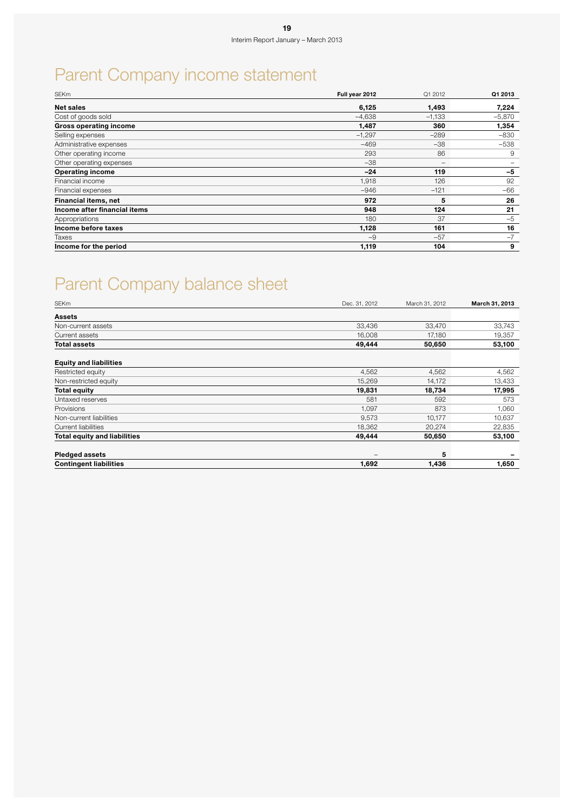# Parent Company income statement

| <b>SEKm</b>                   | Full year 2012 | Q1 2012                      | Q1 2013  |
|-------------------------------|----------------|------------------------------|----------|
| Net sales                     | 6,125          | 1,493                        | 7,224    |
| Cost of goods sold            | $-4.638$       | $-1,133$                     | $-5,870$ |
| <b>Gross operating income</b> | 1,487          | 360                          | 1,354    |
| Selling expenses              | $-1,297$       | $-289$                       | $-830$   |
| Administrative expenses       | $-469$         | $-38$                        | $-538$   |
| Other operating income        | 293            | 86                           | 9        |
| Other operating expenses      | $-38$          | $\qquad \qquad \blacksquare$ |          |
| <b>Operating income</b>       | $-24$          | 119                          | $-5$     |
| Financial income              | 1,918          | 126                          | 92       |
| Financial expenses            | $-946$         | $-121$                       | $-66$    |
| Financial items, net          | 972            | 5                            | 26       |
| Income after financial items  | 948            | 124                          | 21       |
| Appropriations                | 180            | 37                           | $-5$     |
| Income before taxes           | 1,128          | 161                          | 16       |
| Taxes                         | $-9$           | $-57$                        | $-7$     |
| Income for the period         | 1,119          | 104                          | 9        |

# Parent Company balance sheet

| <b>SEKm</b>                   | Dec. 31, 2012   | March 31, 2012 | March 31, 2013 |
|-------------------------------|-----------------|----------------|----------------|
| Assets                        |                 |                |                |
| Non-current assets            | 33,436          | 33,470         | 33,743         |
| Current assets                | 16,008          | 17,180         | 19,357         |
| <b>Total assets</b>           | 49,444          | 50,650         | 53,100         |
| <b>Equity and liabilities</b> |                 |                |                |
| Restricted equity             | 4,562           | 4,562          | 4,562          |
| Non-restricted equity         | 15,269          | 14,172         | 13,433         |
| <b>Total equity</b>           | 19,831          | 18,734         | 17,995         |
| Untaxed reserves              | 581             | 592            | 573            |
| Provisions                    | 1,097           | 873            | 1,060          |
| Non-current liabilities       | 9,573           | 10,177         | 10,637         |
| Current liabilities           | 18,362          | 20,274         | 22,835         |
| Total equity and liabilities  | 49,444          | 50,650         | 53,100         |
| <b>Pledged assets</b>         | $\qquad \qquad$ | 5              |                |
| <b>Contingent liabilities</b> | 1,692           | 1,436          | 1,650          |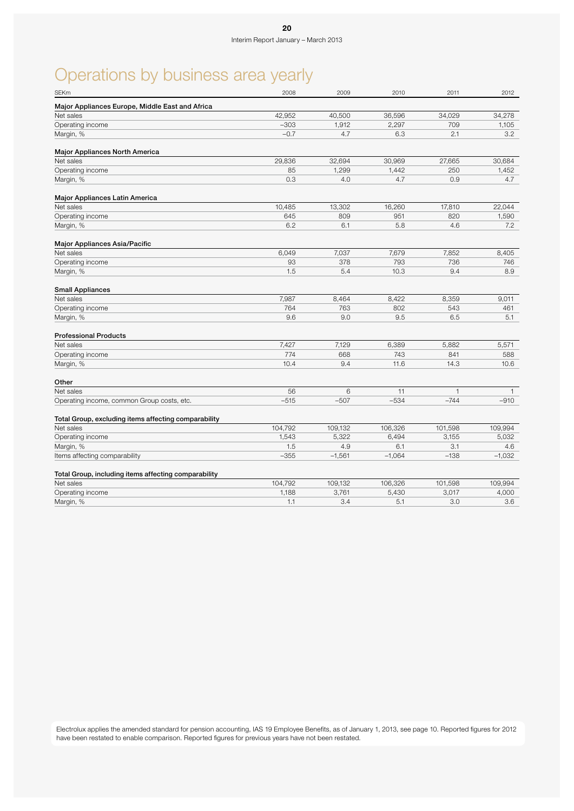# Operations by business area yearly

| Major Appliances Europe, Middle East and Africa<br>Net sales<br>42,952<br>40,500<br>36,596<br>34,029<br>$-303$<br>1,912<br>2,297<br>709<br>Operating income<br>Margin, %<br>$-0.7$<br>4.7<br>6.3<br>2.1<br><b>Major Appliances North America</b><br>Net sales<br>29,836<br>32,694<br>30,969<br>27,665<br>Operating income<br>85<br>1,299<br>1,442<br>250<br>0.3<br>4.0<br>4.7<br>0.9<br>Margin, %<br>Major Appliances Latin America<br>Net sales<br>10,485<br>13,302<br>16,260<br>17,810<br>Operating income<br>645<br>809<br>951<br>820<br>6.2<br>6.1<br>5.8<br>4.6<br>Margin, %<br>Major Appliances Asia/Pacific<br>Net sales<br>6,049<br>7,037<br>7,679<br>7,852<br>93<br>378<br>793<br>736<br>Operating income |              |
|--------------------------------------------------------------------------------------------------------------------------------------------------------------------------------------------------------------------------------------------------------------------------------------------------------------------------------------------------------------------------------------------------------------------------------------------------------------------------------------------------------------------------------------------------------------------------------------------------------------------------------------------------------------------------------------------------------------------|--------------|
|                                                                                                                                                                                                                                                                                                                                                                                                                                                                                                                                                                                                                                                                                                                    |              |
|                                                                                                                                                                                                                                                                                                                                                                                                                                                                                                                                                                                                                                                                                                                    | 34,278       |
|                                                                                                                                                                                                                                                                                                                                                                                                                                                                                                                                                                                                                                                                                                                    | 1,105        |
|                                                                                                                                                                                                                                                                                                                                                                                                                                                                                                                                                                                                                                                                                                                    | 3.2          |
|                                                                                                                                                                                                                                                                                                                                                                                                                                                                                                                                                                                                                                                                                                                    |              |
|                                                                                                                                                                                                                                                                                                                                                                                                                                                                                                                                                                                                                                                                                                                    | 30,684       |
|                                                                                                                                                                                                                                                                                                                                                                                                                                                                                                                                                                                                                                                                                                                    | 1,452        |
|                                                                                                                                                                                                                                                                                                                                                                                                                                                                                                                                                                                                                                                                                                                    | 4.7          |
|                                                                                                                                                                                                                                                                                                                                                                                                                                                                                                                                                                                                                                                                                                                    |              |
|                                                                                                                                                                                                                                                                                                                                                                                                                                                                                                                                                                                                                                                                                                                    | 22,044       |
|                                                                                                                                                                                                                                                                                                                                                                                                                                                                                                                                                                                                                                                                                                                    | 1,590        |
|                                                                                                                                                                                                                                                                                                                                                                                                                                                                                                                                                                                                                                                                                                                    | 7.2          |
|                                                                                                                                                                                                                                                                                                                                                                                                                                                                                                                                                                                                                                                                                                                    |              |
|                                                                                                                                                                                                                                                                                                                                                                                                                                                                                                                                                                                                                                                                                                                    | 8,405        |
|                                                                                                                                                                                                                                                                                                                                                                                                                                                                                                                                                                                                                                                                                                                    | 746          |
| 1.5<br>5.4<br>10.3<br>9.4<br>Margin, %                                                                                                                                                                                                                                                                                                                                                                                                                                                                                                                                                                                                                                                                             | 8.9          |
| <b>Small Appliances</b>                                                                                                                                                                                                                                                                                                                                                                                                                                                                                                                                                                                                                                                                                            |              |
| Net sales<br>7,987<br>8,422<br>8,359<br>8,464                                                                                                                                                                                                                                                                                                                                                                                                                                                                                                                                                                                                                                                                      | 9,011        |
| Operating income<br>764<br>763<br>802<br>543                                                                                                                                                                                                                                                                                                                                                                                                                                                                                                                                                                                                                                                                       | 461          |
| Margin, %<br>9.6<br>9.0<br>9.5<br>6.5                                                                                                                                                                                                                                                                                                                                                                                                                                                                                                                                                                                                                                                                              | 5.1          |
| <b>Professional Products</b>                                                                                                                                                                                                                                                                                                                                                                                                                                                                                                                                                                                                                                                                                       |              |
| Net sales<br>7.427<br>7,129<br>6,389<br>5,882                                                                                                                                                                                                                                                                                                                                                                                                                                                                                                                                                                                                                                                                      | 5,571        |
| 774<br>668<br>743<br>841<br>Operating income                                                                                                                                                                                                                                                                                                                                                                                                                                                                                                                                                                                                                                                                       | 588          |
| 10.4<br>9.4<br>11.6<br>14.3<br>Margin, %                                                                                                                                                                                                                                                                                                                                                                                                                                                                                                                                                                                                                                                                           | 10.6         |
| Other                                                                                                                                                                                                                                                                                                                                                                                                                                                                                                                                                                                                                                                                                                              |              |
| 56<br>6<br>11<br>$\overline{1}$<br>Net sales                                                                                                                                                                                                                                                                                                                                                                                                                                                                                                                                                                                                                                                                       | $\mathbf{1}$ |
| $-534$<br>$-515$<br>$-507$<br>$-744$<br>Operating income, common Group costs, etc.                                                                                                                                                                                                                                                                                                                                                                                                                                                                                                                                                                                                                                 | $-910$       |
| Total Group, excluding items affecting comparability                                                                                                                                                                                                                                                                                                                                                                                                                                                                                                                                                                                                                                                               |              |
| 104,792<br>109,132<br>106,326<br>101,598<br>Net sales                                                                                                                                                                                                                                                                                                                                                                                                                                                                                                                                                                                                                                                              | 109,994      |
| Operating income<br>1,543<br>5,322<br>6,494<br>3,155                                                                                                                                                                                                                                                                                                                                                                                                                                                                                                                                                                                                                                                               | 5,032        |
| 1.5<br>4.9<br>6.1<br>3.1<br>Margin, %                                                                                                                                                                                                                                                                                                                                                                                                                                                                                                                                                                                                                                                                              | 4.6          |
| $-355$<br>$-1,561$<br>$-1,064$<br>$-138$<br>Items affecting comparability                                                                                                                                                                                                                                                                                                                                                                                                                                                                                                                                                                                                                                          | $-1,032$     |
| Total Group, including items affecting comparability                                                                                                                                                                                                                                                                                                                                                                                                                                                                                                                                                                                                                                                               |              |
| Net sales<br>104,792<br>109,132<br>106,326<br>101,598                                                                                                                                                                                                                                                                                                                                                                                                                                                                                                                                                                                                                                                              | 109,994      |
| Operating income<br>1,188<br>3,761<br>5,430<br>3,017                                                                                                                                                                                                                                                                                                                                                                                                                                                                                                                                                                                                                                                               | 4,000        |
| 5.1<br>3.0<br>1.1<br>3.4<br>Margin, %                                                                                                                                                                                                                                                                                                                                                                                                                                                                                                                                                                                                                                                                              | 3.6          |

Electrolux applies the amended standard for pension accounting, IAS 19 Employee Benefits, as of January 1, 2013, see page 10. Reported figures for 2012 have been restated to enable comparison. Reported figures for previous years have not been restated.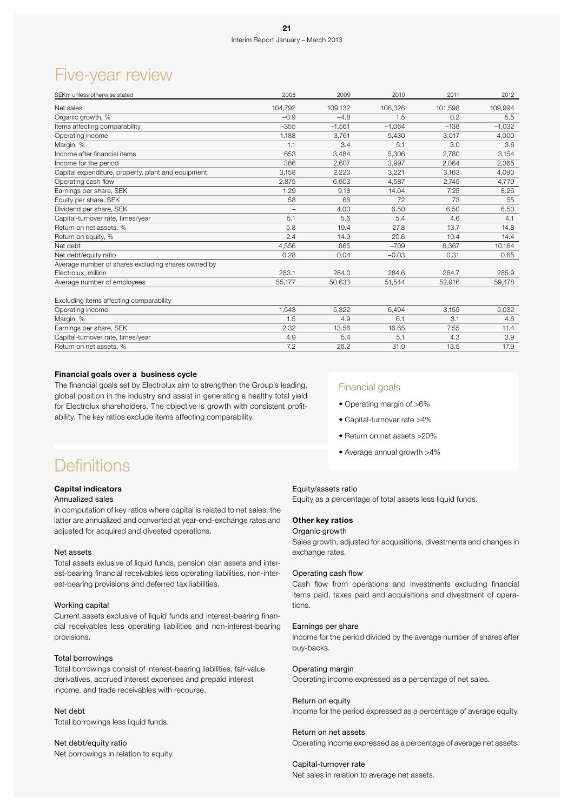### Five-year review

| SEKm unless otherwise stated                       | 2008              | 2009     | 2010     | 2011    | 2012     |
|----------------------------------------------------|-------------------|----------|----------|---------|----------|
| Net sales                                          | 104.792           | 109,132  | 106,326  | 101.598 | 109,994  |
| Organic growth, %                                  | $-0.9$            | $-4.8$   | 1.5      | 0.2     | 5.5      |
| Items affecting comparability                      | $-355$            | $-1.561$ | $-1.064$ | $-138$  | $-1,032$ |
| Operating income                                   | 1,188             | 3.761    | 5,430    | 3,017   | 4,000    |
| Margin, %                                          | 1.1               | 3.4      | 5.1      | 3.0     | 3.6      |
| Income after financial items                       | 653               | 3,484    | 5,306    | 2,780   | 3,154    |
| Income for the period                              | 366               | 2,607    | 3,997    | 2,064   | 2,365    |
| Capital expenditure, property, plant and equipment | 3,158             | 2,223    | 3,221    | 3,163   | 4,090    |
| Operating cash flow                                | 2,875             | 6,603    | 4,587    | 2,745   | 4,779    |
| Earnings per share, SEK                            | 1.29              | 9.18     | 14.04    | 7.25    | 8.26     |
| Equity per share, SEK                              | 58                | 66       | 72       | 73      | 55       |
| Dividend per share, SEK                            | $\qquad \qquad -$ | 4.00     | 6.50     | 6.50    | 6.50     |
| Capital-turnover rate, times/year                  | 5.1               | 5.6      | 5.4      | 4.6     | 4.1      |
| Return on net assets, %                            | 5.8               | 19.4     | 27.8     | 13.7    | 14.8     |
| Return on equity, %                                | 2.4               | 14.9     | 20.6     | 10.4    | 14.4     |
| Net debt                                           | 4.556             | 665      | $-709$   | 6.367   | 10,164   |
| Net debt/equity ratio                              | 0.28              | 0.04     | $-0.03$  | 0.31    | 0.65     |
| Average number of shares excluding shares owned by |                   |          |          |         |          |
| Electrolux, million                                | 283.1             | 284.0    | 284.6    | 284.7   | 285.9    |
| Average number of employees                        | 55,177            | 50,633   | 51,544   | 52,916  | 59,478   |
| Excluding items affecting comparability            |                   |          |          |         |          |
| Operating income                                   | 1,543             | 5,322    | 6,494    | 3,155   | 5,032    |
| Margin, %                                          | 1.5               | 4.9      | 6.1      | 3.1     | 4.6      |
| Earnings per share, SEK                            | 2.32              | 13.56    | 16.65    | 7.55    | 11.4     |

Capital-turnover rate, times/year 6.9 and the state of the state of the state of the state of the state of the state of the state of the state of the state of the state of the state of the state of the state of the state o Return on net assets, % 17.9 17.9 17.9 17.9 17.9 26.2 31.0 13.5 17.9

### Financial goals over a business cycle

The financial goals set by Electrolux aim to strengthen the Group's leading, global position in the industry and assist in generating a healthy total yield for Electrolux shareholders. The objective is growth with consistent profitability. The key ratios exclude items affecting comparability.

### Financial goals

- Operating margin of >6%
- Capital-turnover rate >4%
- Return on net assets >20%
- Average annual growth >4%

### **Definitions**

### Capital indicators

### Annualized sales

In computation of key ratios where capital is related to net sales, the latter are annualized and converted at year-end-exchange rates and adjusted for acquired and divested operations.

#### Net assets

Total assets exlusive of liquid funds, pension plan assets and interest-bearing financial receivables less operating liabilities, non-interest-bearing provisions and deferred tax liabilities.

#### Working capital

Current assets exclusive of liquid funds and interest-bearing financial receivables less operating liabilities and non-interest-bearing provisions.

### Total borrowings

Total borrowings consist of interest-bearing liabilities, fair-value derivatives, accrued interest expenses and prepaid interest income, and trade receivables with recourse.

Net debt Total borrowings less liquid funds.

Net debt/equity ratio Net borrowings in relation to equity.

### Equity/assets ratio

Equity as a percentage of total assets less liquid funds.

### Other key ratios

#### Organic growth

Sales growth, adjusted for acquisitions, divestments and changes in exchange rates.

### Operating cash flow

Cash flow from operations and investments excluding financial items paid, taxes paid and acquisitions and divestment of operations.

### Earnings per share

Income for the period divided by the average number of shares after buy-backs.

#### Operating margin

Operating income expressed as a percentage of net sales.

#### Return on equity

Income for the period expressed as a percentage of average equity.

#### Return on net assets

Operating income expressed as a percentage of average net assets.

#### Capital-turnover rate

Net sales in relation to average net assets.